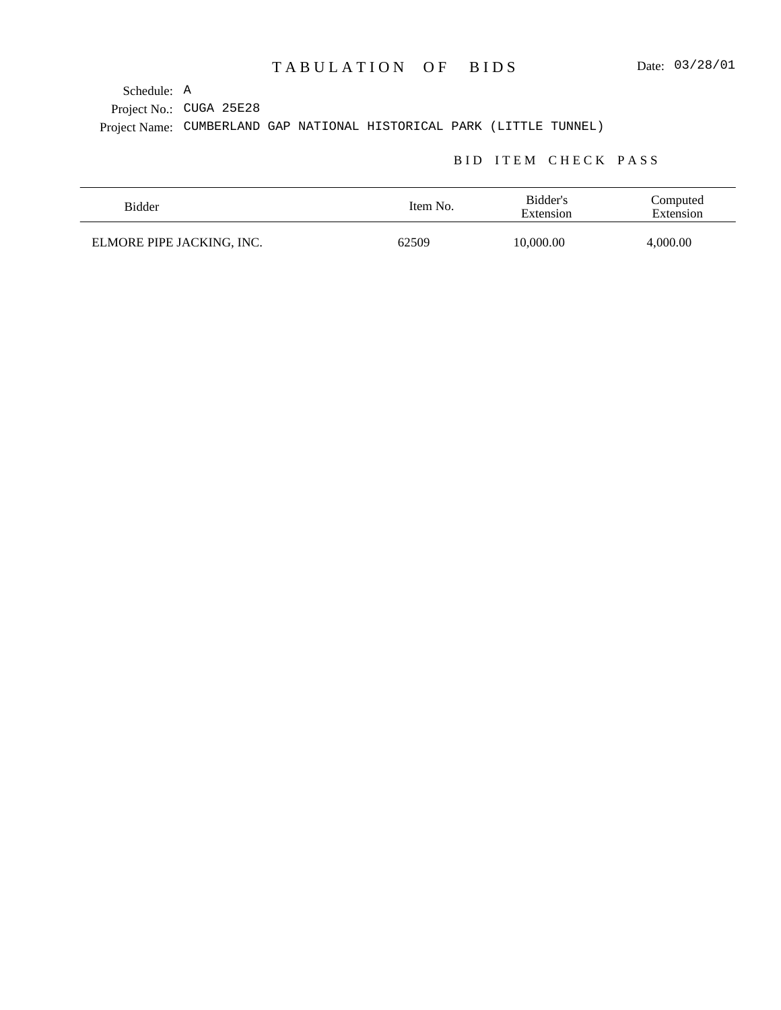Project No.: CUGA 25E28 Project Name: CUMBERLAND GAP NATIONAL HISTORICAL PARK (LITTLE TUNNEL) Schedule: A

### BID ITEM CHECK PASS

| Bidder                    | Item No. | Bidder's<br>Extension | Computed<br>Extension |
|---------------------------|----------|-----------------------|-----------------------|
| ELMORE PIPE JACKING, INC. | 62509    | 10,000.00             | 4,000.00              |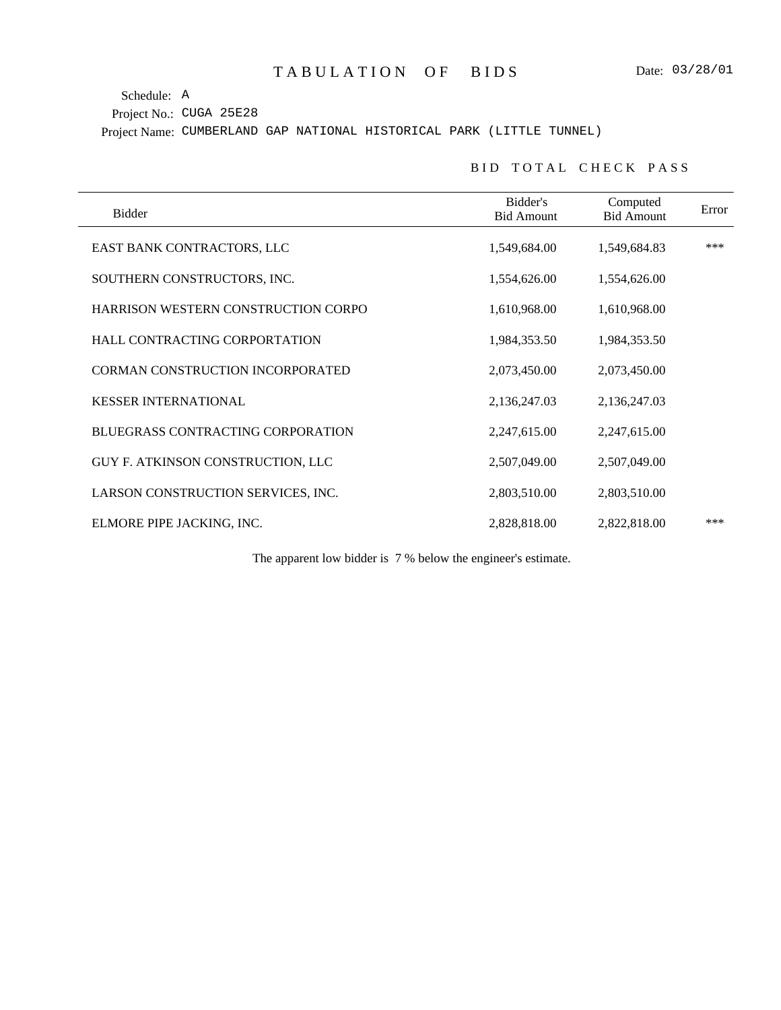Schedule: A

Project No.: CUGA 25E28

Project Name: CUMBERLAND GAP NATIONAL HISTORICAL PARK (LITTLE TUNNEL)

#### BID TOTAL CHECK PASS

| Bidder                                   | Bidder's<br><b>Bid Amount</b> | Computed<br><b>Bid Amount</b> | Error |
|------------------------------------------|-------------------------------|-------------------------------|-------|
| EAST BANK CONTRACTORS, LLC               | 1,549,684.00                  | 1,549,684.83                  | ***   |
| SOUTHERN CONSTRUCTORS, INC.              | 1,554,626.00                  | 1,554,626.00                  |       |
| HARRISON WESTERN CONSTRUCTION CORPO      | 1,610,968.00                  | 1,610,968.00                  |       |
| HALL CONTRACTING CORPORTATION            | 1,984,353.50                  | 1,984,353.50                  |       |
| <b>CORMAN CONSTRUCTION INCORPORATED</b>  | 2,073,450.00                  | 2,073,450.00                  |       |
| <b>KESSER INTERNATIONAL</b>              | 2,136,247.03                  | 2,136,247.03                  |       |
| <b>BLUEGRASS CONTRACTING CORPORATION</b> | 2,247,615.00                  | 2,247,615.00                  |       |
| GUY F. ATKINSON CONSTRUCTION, LLC        | 2,507,049.00                  | 2,507,049.00                  |       |
| LARSON CONSTRUCTION SERVICES, INC.       | 2,803,510.00                  | 2,803,510.00                  |       |
| ELMORE PIPE JACKING, INC.                | 2,828,818.00                  | 2,822,818.00                  | ***   |

The apparent low bidder is 7 % below the engineer's estimate.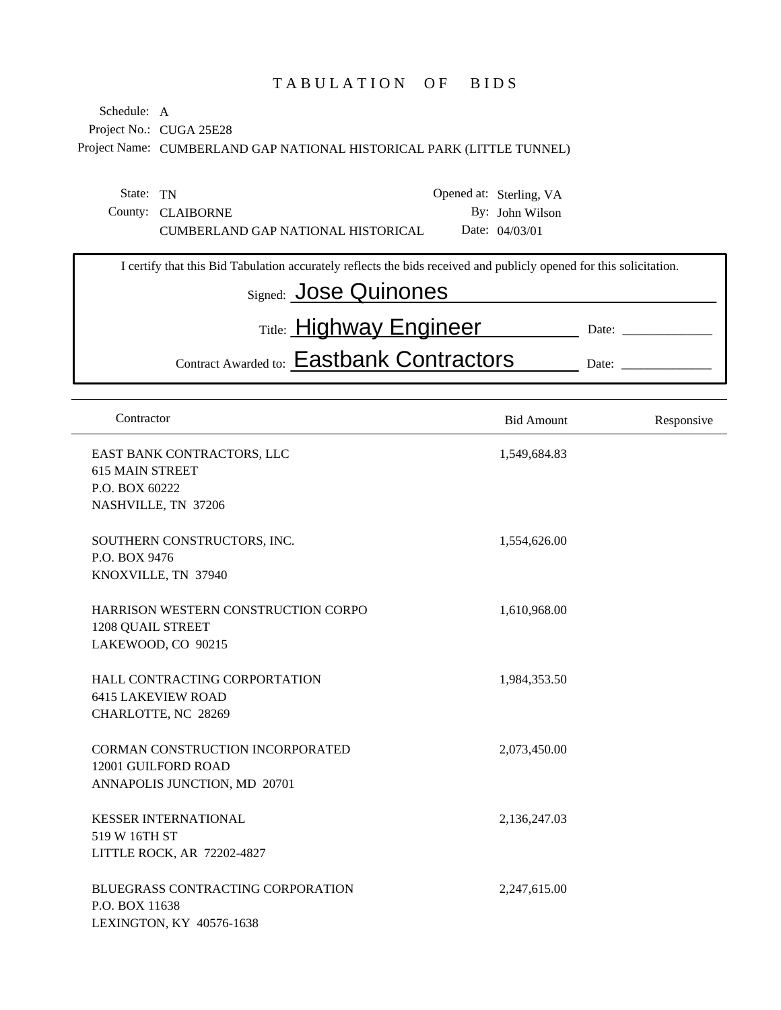# TABULATION OF BIDS

Project No.: CUGA 25E28 Project Name: CUMBERLAND GAP NATIONAL HISTORICAL PARK (LITTLE TUNNEL) Schedule: A

| State: TN |                                    | Opened at: Sterling, VA |
|-----------|------------------------------------|-------------------------|
|           | County: CLAIBORNE                  | By: John Wilson         |
|           | CUMBERLAND GAP NATIONAL HISTORICAL | Date: $04/03/01$        |

| I certify that this Bid Tabulation accurately reflects the bids received and publicly opened for this solicitation. |       |
|---------------------------------------------------------------------------------------------------------------------|-------|
| Signed: Jose Quinones                                                                                               |       |
| Title: <b>Highway Engineer</b>                                                                                      | Date: |
| Contract Awarded to: Eastbank Contractors                                                                           | Date: |
|                                                                                                                     |       |

| Contractor                                                                                     | <b>Bid Amount</b> | Responsive |
|------------------------------------------------------------------------------------------------|-------------------|------------|
| EAST BANK CONTRACTORS, LLC<br><b>615 MAIN STREET</b><br>P.O. BOX 60222<br>NASHVILLE, TN 37206  | 1,549,684.83      |            |
| SOUTHERN CONSTRUCTORS, INC.<br>P.O. BOX 9476<br>KNOXVILLE, TN 37940                            | 1,554,626.00      |            |
| HARRISON WESTERN CONSTRUCTION CORPO<br><b>1208 QUAIL STREET</b><br>LAKEWOOD, CO 90215          | 1,610,968.00      |            |
| HALL CONTRACTING CORPORTATION<br><b>6415 LAKEVIEW ROAD</b><br>CHARLOTTE, NC 28269              | 1,984,353.50      |            |
| <b>CORMAN CONSTRUCTION INCORPORATED</b><br>12001 GUILFORD ROAD<br>ANNAPOLIS JUNCTION, MD 20701 | 2,073,450.00      |            |
| <b>KESSER INTERNATIONAL</b><br>519 W 16TH ST<br>LITTLE ROCK, AR 72202-4827                     | 2,136,247.03      |            |
| <b>BLUEGRASS CONTRACTING CORPORATION</b><br>P.O. BOX 11638<br>LEXINGTON, KY 40576-1638         | 2,247,615.00      |            |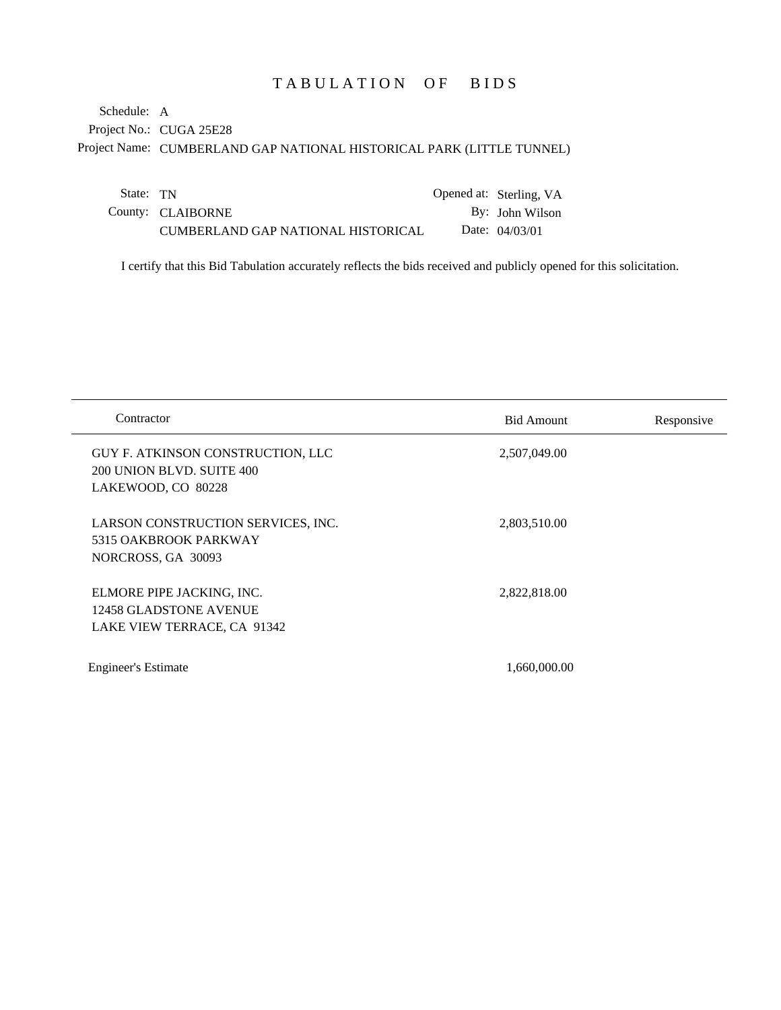# TABULATION OF BIDS

Project No.: CUGA 25E28 Project Name: CUMBERLAND GAP NATIONAL HISTORICAL PARK (LITTLE TUNNEL) Schedule: A

| State: TN |                                    | Opened at: Sterling, VA |
|-----------|------------------------------------|-------------------------|
|           | County: CLAIBORNE                  | By: John Wilson         |
|           | CUMBERLAND GAP NATIONAL HISTORICAL | Date: $04/03/01$        |

I certify that this Bid Tabulation accurately reflects the bids received and publicly opened for this solicitation.

| Contractor                                                                           | <b>Bid Amount</b> | Responsive |
|--------------------------------------------------------------------------------------|-------------------|------------|
| GUY F. ATKINSON CONSTRUCTION, LLC<br>200 UNION BLVD. SUITE 400<br>LAKEWOOD, CO 80228 | 2,507,049.00      |            |
| LARSON CONSTRUCTION SERVICES, INC.<br>5315 OAKBROOK PARKWAY<br>NORCROSS, GA 30093    | 2,803,510.00      |            |
| ELMORE PIPE JACKING, INC.<br>12458 GLADSTONE AVENUE<br>LAKE VIEW TERRACE, CA 91342   | 2,822,818.00      |            |
| <b>Engineer's Estimate</b>                                                           | 1,660,000.00      |            |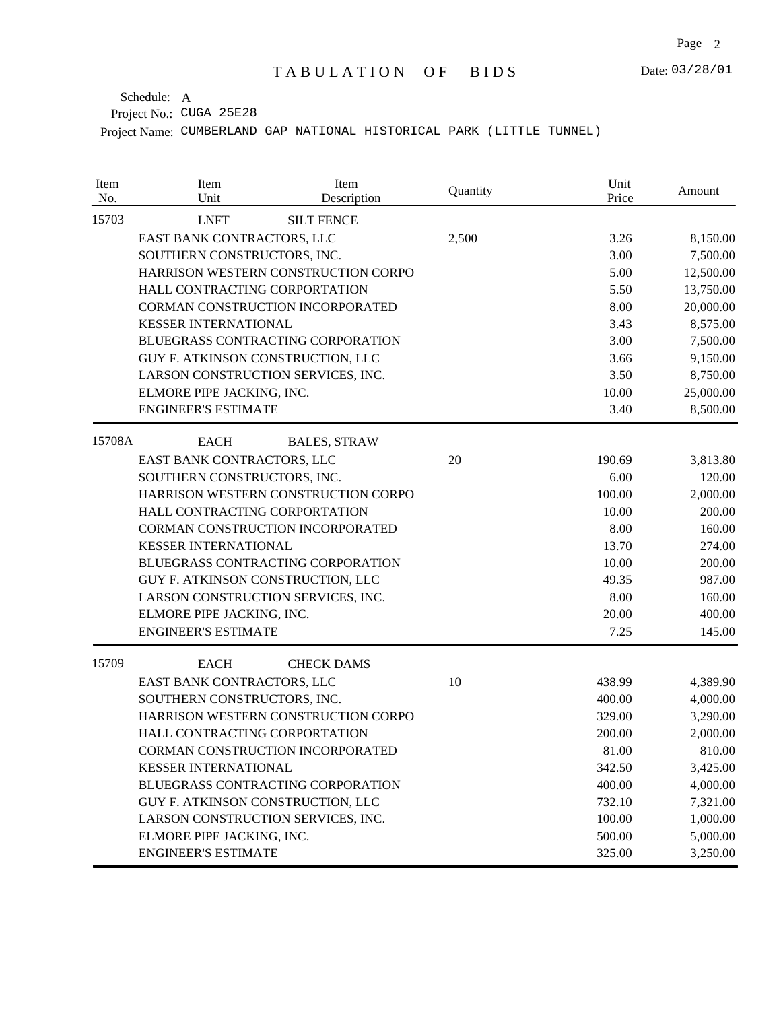| Item<br>No. | Item<br>Unit                        | Item<br>Description | Quantity | Unit<br>Price | Amount    |
|-------------|-------------------------------------|---------------------|----------|---------------|-----------|
| 15703       | <b>LNFT</b>                         | <b>SILT FENCE</b>   |          |               |           |
|             | EAST BANK CONTRACTORS, LLC          |                     | 2,500    | 3.26          | 8,150.00  |
|             | SOUTHERN CONSTRUCTORS, INC.         |                     |          | 3.00          | 7,500.00  |
|             | HARRISON WESTERN CONSTRUCTION CORPO |                     |          | 5.00          | 12,500.00 |
|             | HALL CONTRACTING CORPORTATION       |                     |          | 5.50          | 13,750.00 |
|             | CORMAN CONSTRUCTION INCORPORATED    |                     |          | 8.00          | 20,000.00 |
|             | <b>KESSER INTERNATIONAL</b>         |                     |          | 3.43          | 8,575.00  |
|             | BLUEGRASS CONTRACTING CORPORATION   |                     |          | 3.00          | 7,500.00  |
|             | GUY F. ATKINSON CONSTRUCTION, LLC   |                     |          | 3.66          | 9,150.00  |
|             | LARSON CONSTRUCTION SERVICES, INC.  |                     |          | 3.50          | 8,750.00  |
|             | ELMORE PIPE JACKING, INC.           |                     |          | 10.00         | 25,000.00 |
|             | <b>ENGINEER'S ESTIMATE</b>          |                     |          | 3.40          | 8,500.00  |
| 15708A      | <b>EACH</b>                         | <b>BALES, STRAW</b> |          |               |           |
|             | EAST BANK CONTRACTORS, LLC          |                     | 20       | 190.69        | 3,813.80  |
|             | SOUTHERN CONSTRUCTORS, INC.         |                     |          | 6.00          | 120.00    |
|             | HARRISON WESTERN CONSTRUCTION CORPO |                     |          | 100.00        | 2,000.00  |
|             | HALL CONTRACTING CORPORTATION       |                     |          | 10.00         | 200.00    |
|             | CORMAN CONSTRUCTION INCORPORATED    |                     |          | 8.00          | 160.00    |
|             | <b>KESSER INTERNATIONAL</b>         |                     |          | 13.70         | 274.00    |
|             | BLUEGRASS CONTRACTING CORPORATION   |                     |          | 10.00         | 200.00    |
|             | GUY F. ATKINSON CONSTRUCTION, LLC   |                     |          | 49.35         | 987.00    |
|             | LARSON CONSTRUCTION SERVICES, INC.  |                     |          | 8.00          | 160.00    |
|             | ELMORE PIPE JACKING, INC.           |                     |          | 20.00         | 400.00    |
|             | <b>ENGINEER'S ESTIMATE</b>          |                     |          | 7.25          | 145.00    |
| 15709       | <b>EACH</b>                         | <b>CHECK DAMS</b>   |          |               |           |
|             | EAST BANK CONTRACTORS, LLC          |                     | 10       | 438.99        | 4,389.90  |
|             | SOUTHERN CONSTRUCTORS, INC.         |                     |          | 400.00        | 4,000.00  |
|             | HARRISON WESTERN CONSTRUCTION CORPO |                     |          | 329.00        | 3,290.00  |
|             | HALL CONTRACTING CORPORTATION       |                     |          | 200.00        | 2,000.00  |
|             | CORMAN CONSTRUCTION INCORPORATED    |                     |          | 81.00         | 810.00    |
|             | <b>KESSER INTERNATIONAL</b>         |                     |          | 342.50        | 3,425.00  |
|             | BLUEGRASS CONTRACTING CORPORATION   |                     |          | 400.00        | 4,000.00  |
|             | GUY F. ATKINSON CONSTRUCTION, LLC   |                     |          | 732.10        | 7,321.00  |
|             | LARSON CONSTRUCTION SERVICES, INC.  |                     |          | 100.00        | 1,000.00  |
|             | ELMORE PIPE JACKING, INC.           |                     |          | 500.00        | 5,000.00  |
|             | <b>ENGINEER'S ESTIMATE</b>          |                     |          | 325.00        | 3,250.00  |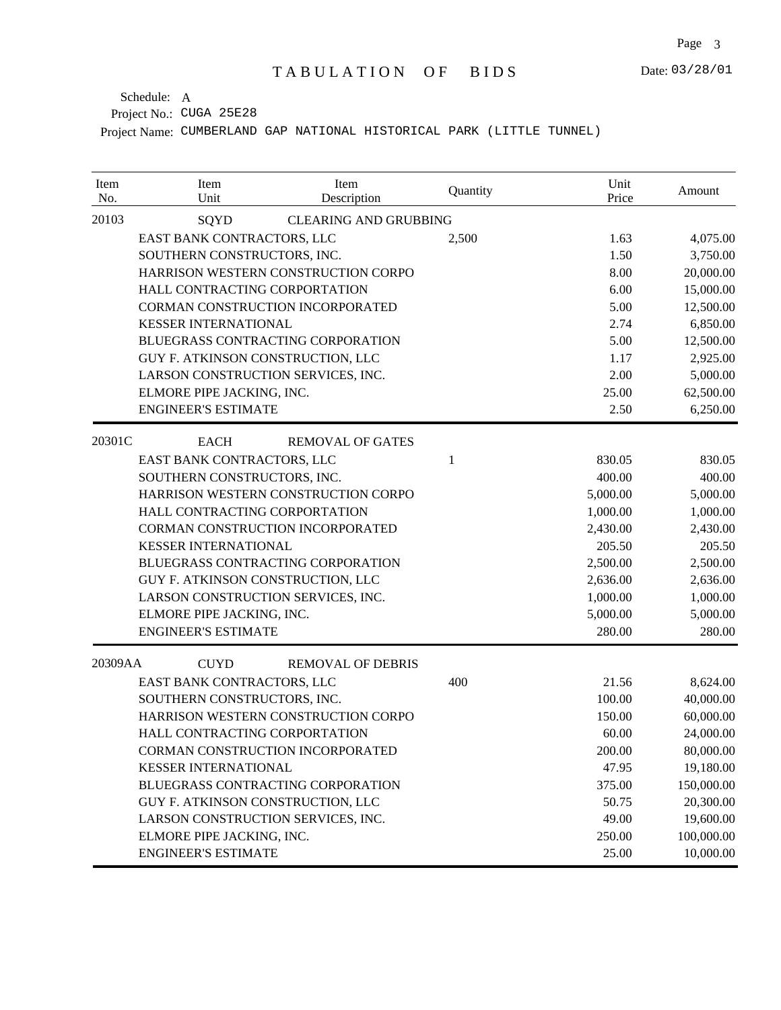| Item<br>No. | Item<br>Unit                       | Item<br>Description                 | Quantity | Unit<br>Price | Amount     |
|-------------|------------------------------------|-------------------------------------|----------|---------------|------------|
| 20103       | SQYD                               | <b>CLEARING AND GRUBBING</b>        |          |               |            |
|             | EAST BANK CONTRACTORS, LLC         |                                     | 2,500    | 1.63          | 4,075.00   |
|             | SOUTHERN CONSTRUCTORS, INC.        |                                     |          | 1.50          | 3,750.00   |
|             |                                    | HARRISON WESTERN CONSTRUCTION CORPO |          | 8.00          | 20,000.00  |
|             | HALL CONTRACTING CORPORTATION      |                                     |          | 6.00          | 15,000.00  |
|             | CORMAN CONSTRUCTION INCORPORATED   |                                     |          | 5.00          | 12,500.00  |
|             | <b>KESSER INTERNATIONAL</b>        |                                     |          | 2.74          | 6,850.00   |
|             | BLUEGRASS CONTRACTING CORPORATION  |                                     |          | 5.00          | 12,500.00  |
|             | GUY F. ATKINSON CONSTRUCTION, LLC  |                                     |          | 1.17          | 2,925.00   |
|             | LARSON CONSTRUCTION SERVICES, INC. |                                     |          | 2.00          | 5,000.00   |
|             | ELMORE PIPE JACKING, INC.          |                                     |          | 25.00         | 62,500.00  |
|             | <b>ENGINEER'S ESTIMATE</b>         |                                     |          | 2.50          | 6,250.00   |
| 20301C      | <b>EACH</b>                        | <b>REMOVAL OF GATES</b>             |          |               |            |
|             | EAST BANK CONTRACTORS, LLC         |                                     | 1        | 830.05        | 830.05     |
|             | SOUTHERN CONSTRUCTORS, INC.        |                                     |          | 400.00        | 400.00     |
|             |                                    | HARRISON WESTERN CONSTRUCTION CORPO |          | 5,000.00      | 5,000.00   |
|             | HALL CONTRACTING CORPORTATION      |                                     |          | 1,000.00      | 1,000.00   |
|             | CORMAN CONSTRUCTION INCORPORATED   |                                     |          | 2,430.00      | 2,430.00   |
|             | <b>KESSER INTERNATIONAL</b>        |                                     |          | 205.50        | 205.50     |
|             | BLUEGRASS CONTRACTING CORPORATION  |                                     |          | 2,500.00      | 2,500.00   |
|             | GUY F. ATKINSON CONSTRUCTION, LLC  |                                     |          | 2,636.00      | 2,636.00   |
|             | LARSON CONSTRUCTION SERVICES, INC. |                                     |          | 1,000.00      | 1,000.00   |
|             | ELMORE PIPE JACKING, INC.          |                                     |          | 5,000.00      | 5,000.00   |
|             | <b>ENGINEER'S ESTIMATE</b>         |                                     |          | 280.00        | 280.00     |
| 20309AA     | <b>CUYD</b>                        | <b>REMOVAL OF DEBRIS</b>            |          |               |            |
|             | EAST BANK CONTRACTORS, LLC         |                                     | 400      | 21.56         | 8,624.00   |
|             | SOUTHERN CONSTRUCTORS, INC.        |                                     |          | 100.00        | 40,000.00  |
|             |                                    | HARRISON WESTERN CONSTRUCTION CORPO |          | 150.00        | 60,000.00  |
|             | HALL CONTRACTING CORPORTATION      |                                     |          | 60.00         | 24,000.00  |
|             | CORMAN CONSTRUCTION INCORPORATED   |                                     |          | 200.00        | 80,000.00  |
|             | <b>KESSER INTERNATIONAL</b>        |                                     |          | 47.95         | 19,180.00  |
|             | BLUEGRASS CONTRACTING CORPORATION  |                                     |          | 375.00        | 150,000.00 |
|             | GUY F. ATKINSON CONSTRUCTION, LLC  |                                     |          | 50.75         | 20,300.00  |
|             | LARSON CONSTRUCTION SERVICES, INC. |                                     |          | 49.00         | 19,600.00  |
|             | ELMORE PIPE JACKING, INC.          |                                     |          | 250.00        | 100,000.00 |
|             | <b>ENGINEER'S ESTIMATE</b>         |                                     |          | 25.00         | 10,000.00  |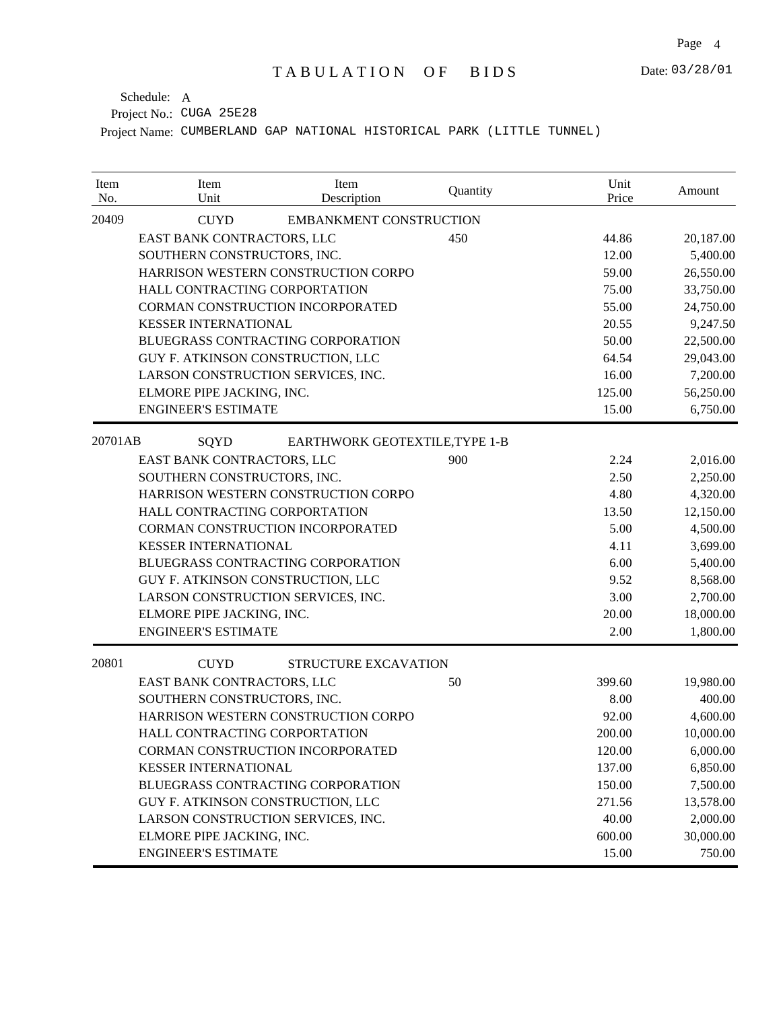| Item<br>No.                 | Item<br>Unit                       | Item<br>Description                 | Quantity | Unit<br>Price | Amount    |
|-----------------------------|------------------------------------|-------------------------------------|----------|---------------|-----------|
| 20409                       | <b>CUYD</b>                        | <b>EMBANKMENT CONSTRUCTION</b>      |          |               |           |
|                             | EAST BANK CONTRACTORS, LLC<br>450  |                                     |          | 44.86         | 20,187.00 |
|                             |                                    | SOUTHERN CONSTRUCTORS, INC.         |          |               | 5,400.00  |
|                             |                                    | HARRISON WESTERN CONSTRUCTION CORPO |          | 59.00         | 26,550.00 |
|                             | HALL CONTRACTING CORPORTATION      |                                     |          | 75.00         | 33,750.00 |
|                             | CORMAN CONSTRUCTION INCORPORATED   |                                     |          | 55.00         | 24,750.00 |
|                             | <b>KESSER INTERNATIONAL</b>        |                                     |          | 20.55         | 9,247.50  |
|                             | BLUEGRASS CONTRACTING CORPORATION  |                                     |          | 50.00         | 22,500.00 |
|                             | GUY F. ATKINSON CONSTRUCTION, LLC  |                                     |          | 64.54         | 29,043.00 |
|                             | LARSON CONSTRUCTION SERVICES, INC. |                                     |          | 16.00         | 7,200.00  |
|                             | ELMORE PIPE JACKING, INC.          |                                     |          | 125.00        | 56,250.00 |
|                             | <b>ENGINEER'S ESTIMATE</b>         |                                     |          | 15.00         | 6,750.00  |
| 20701AB                     | SQYD                               | EARTHWORK GEOTEXTILE, TYPE 1-B      |          |               |           |
|                             | EAST BANK CONTRACTORS, LLC         |                                     | 900      | 2.24          | 2,016.00  |
|                             | SOUTHERN CONSTRUCTORS, INC.        |                                     |          | 2.50          | 2,250.00  |
|                             |                                    | HARRISON WESTERN CONSTRUCTION CORPO |          | 4.80          | 4,320.00  |
|                             | HALL CONTRACTING CORPORTATION      |                                     | 13.50    | 12,150.00     |           |
|                             | CORMAN CONSTRUCTION INCORPORATED   |                                     | 5.00     | 4,500.00      |           |
| <b>KESSER INTERNATIONAL</b> |                                    |                                     |          | 4.11          | 3,699.00  |
|                             | BLUEGRASS CONTRACTING CORPORATION  |                                     | 6.00     | 5,400.00      |           |
|                             | GUY F. ATKINSON CONSTRUCTION, LLC  |                                     |          | 9.52          | 8,568.00  |
|                             | LARSON CONSTRUCTION SERVICES, INC. |                                     |          | 3.00          | 2,700.00  |
|                             | ELMORE PIPE JACKING, INC.          |                                     |          | 20.00         | 18,000.00 |
|                             | <b>ENGINEER'S ESTIMATE</b>         |                                     |          | 2.00          | 1,800.00  |
| 20801                       | <b>CUYD</b>                        | STRUCTURE EXCAVATION                |          |               |           |
|                             | EAST BANK CONTRACTORS, LLC         |                                     | 50       | 399.60        | 19,980.00 |
|                             | SOUTHERN CONSTRUCTORS, INC.        |                                     |          | 8.00          | 400.00    |
|                             |                                    | HARRISON WESTERN CONSTRUCTION CORPO |          | 92.00         | 4,600.00  |
|                             | HALL CONTRACTING CORPORTATION      |                                     |          | 200.00        | 10,000.00 |
|                             | CORMAN CONSTRUCTION INCORPORATED   |                                     |          | 120.00        | 6,000.00  |
|                             | <b>KESSER INTERNATIONAL</b>        |                                     |          | 137.00        | 6,850.00  |
|                             | BLUEGRASS CONTRACTING CORPORATION  |                                     |          | 150.00        | 7,500.00  |
|                             | GUY F. ATKINSON CONSTRUCTION, LLC  |                                     |          | 271.56        | 13,578.00 |
|                             | LARSON CONSTRUCTION SERVICES, INC. |                                     |          | 40.00         | 2,000.00  |
|                             | ELMORE PIPE JACKING, INC.          |                                     |          | 600.00        | 30,000.00 |
|                             | <b>ENGINEER'S ESTIMATE</b>         |                                     |          | 15.00         | 750.00    |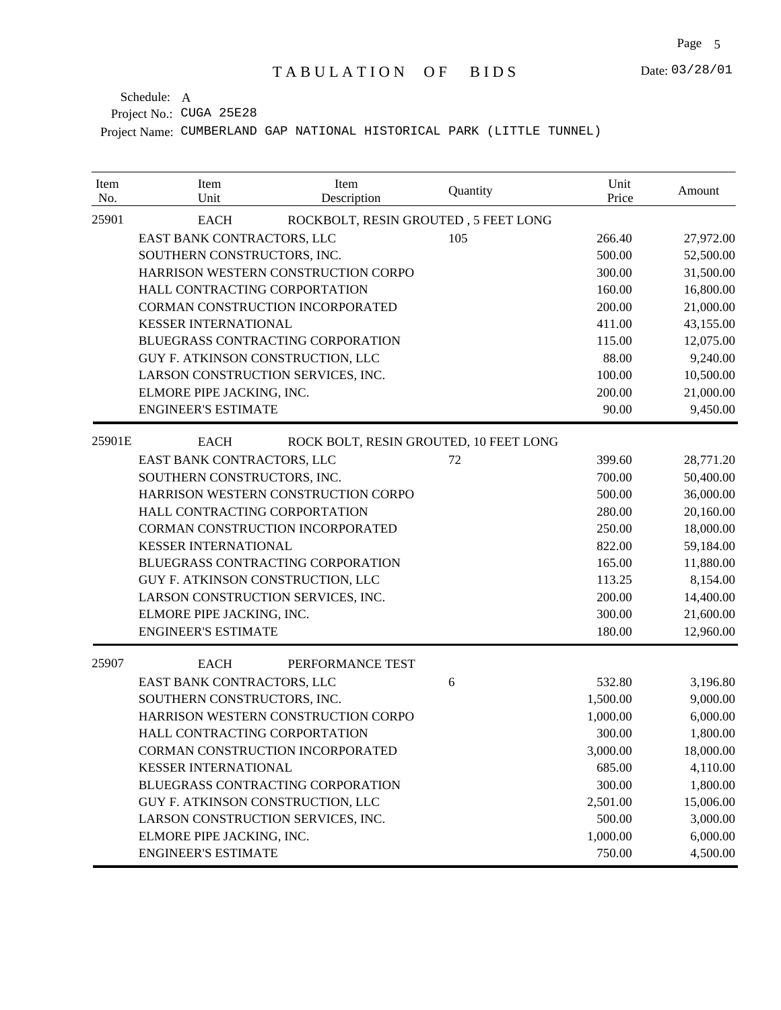| Item<br>No. | Item<br>Unit                       | Item<br>Description                    | Quantity | Unit<br>Price | Amount    |
|-------------|------------------------------------|----------------------------------------|----------|---------------|-----------|
| 25901       | <b>EACH</b>                        | ROCKBOLT, RESIN GROUTED, 5 FEET LONG   |          |               |           |
|             | EAST BANK CONTRACTORS, LLC         |                                        | 105      | 266.40        | 27,972.00 |
|             | SOUTHERN CONSTRUCTORS, INC.        |                                        |          | 500.00        | 52,500.00 |
|             |                                    | HARRISON WESTERN CONSTRUCTION CORPO    |          | 300.00        | 31,500.00 |
|             | HALL CONTRACTING CORPORTATION      |                                        |          | 160.00        | 16,800.00 |
|             | CORMAN CONSTRUCTION INCORPORATED   |                                        |          | 200.00        | 21,000.00 |
|             | <b>KESSER INTERNATIONAL</b>        |                                        |          | 411.00        | 43,155.00 |
|             | BLUEGRASS CONTRACTING CORPORATION  |                                        |          | 115.00        | 12,075.00 |
|             | GUY F. ATKINSON CONSTRUCTION, LLC  |                                        |          | 88.00         | 9,240.00  |
|             | LARSON CONSTRUCTION SERVICES, INC. |                                        |          | 100.00        | 10,500.00 |
|             | ELMORE PIPE JACKING, INC.          |                                        |          | 200.00        | 21,000.00 |
|             | <b>ENGINEER'S ESTIMATE</b>         |                                        |          | 90.00         | 9,450.00  |
| 25901E      | <b>EACH</b>                        | ROCK BOLT, RESIN GROUTED, 10 FEET LONG |          |               |           |
|             | EAST BANK CONTRACTORS, LLC         |                                        | 72       | 399.60        | 28,771.20 |
|             | SOUTHERN CONSTRUCTORS, INC.        |                                        |          | 700.00        | 50,400.00 |
|             |                                    | HARRISON WESTERN CONSTRUCTION CORPO    |          | 500.00        | 36,000.00 |
|             | HALL CONTRACTING CORPORTATION      |                                        |          | 280.00        | 20,160.00 |
|             | CORMAN CONSTRUCTION INCORPORATED   |                                        |          | 250.00        | 18,000.00 |
|             | <b>KESSER INTERNATIONAL</b>        |                                        |          | 822.00        | 59,184.00 |
|             | BLUEGRASS CONTRACTING CORPORATION  |                                        |          | 165.00        | 11,880.00 |
|             | GUY F. ATKINSON CONSTRUCTION, LLC  |                                        |          | 113.25        | 8,154.00  |
|             | LARSON CONSTRUCTION SERVICES, INC. |                                        |          | 200.00        | 14,400.00 |
|             | ELMORE PIPE JACKING, INC.          |                                        |          | 300.00        | 21,600.00 |
|             | <b>ENGINEER'S ESTIMATE</b>         |                                        |          | 180.00        | 12,960.00 |
| 25907       | <b>EACH</b>                        | PERFORMANCE TEST                       |          |               |           |
|             | EAST BANK CONTRACTORS, LLC         |                                        | 6        | 532.80        | 3,196.80  |
|             | SOUTHERN CONSTRUCTORS, INC.        |                                        |          | 1,500.00      | 9,000.00  |
|             |                                    | HARRISON WESTERN CONSTRUCTION CORPO    |          | 1,000.00      | 6,000.00  |
|             | HALL CONTRACTING CORPORTATION      |                                        |          | 300.00        | 1,800.00  |
|             | CORMAN CONSTRUCTION INCORPORATED   |                                        |          | 3,000.00      | 18,000.00 |
|             | <b>KESSER INTERNATIONAL</b>        |                                        |          | 685.00        | 4,110.00  |
|             | BLUEGRASS CONTRACTING CORPORATION  |                                        |          | 300.00        | 1,800.00  |
|             | GUY F. ATKINSON CONSTRUCTION, LLC  |                                        |          | 2,501.00      | 15,006.00 |
|             | LARSON CONSTRUCTION SERVICES, INC. |                                        |          | 500.00        | 3,000.00  |
|             | ELMORE PIPE JACKING, INC.          |                                        |          | 1,000.00      | 6,000.00  |
|             | <b>ENGINEER'S ESTIMATE</b>         |                                        |          | 750.00        | 4,500.00  |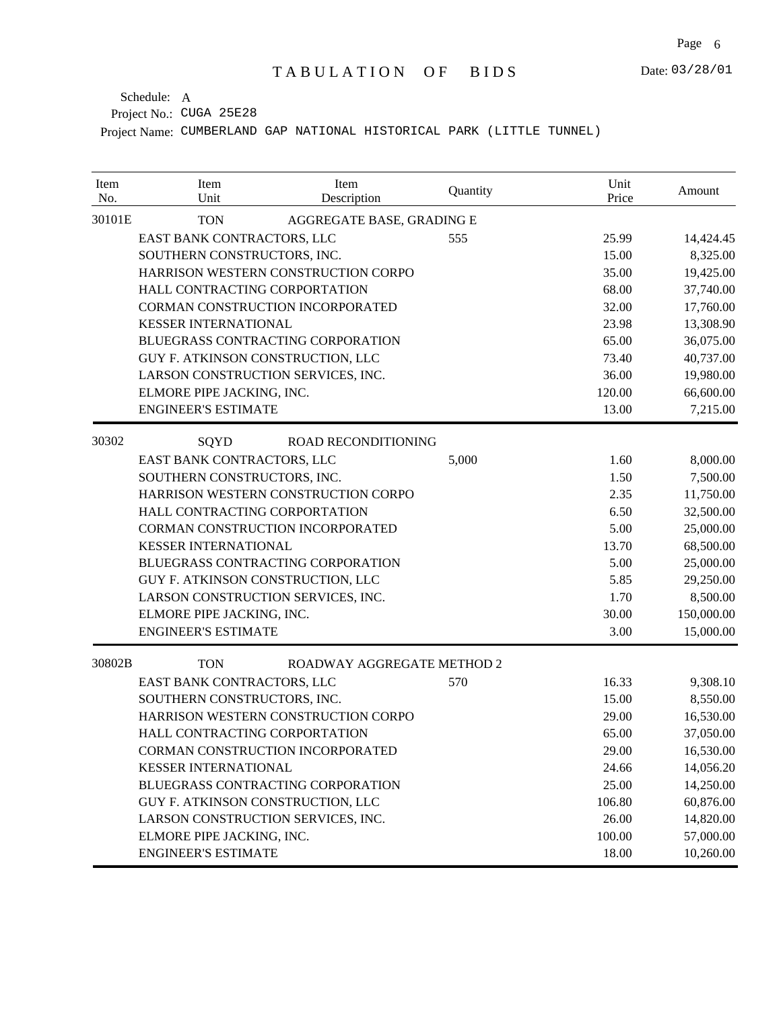| Item<br>No. | Item<br>Unit                       | Item<br>Description                 | Quantity | Unit<br>Price | Amount     |
|-------------|------------------------------------|-------------------------------------|----------|---------------|------------|
| 30101E      | <b>TON</b>                         | AGGREGATE BASE, GRADING E           |          |               |            |
|             | EAST BANK CONTRACTORS, LLC<br>555  |                                     | 25.99    | 14,424.45     |            |
|             | SOUTHERN CONSTRUCTORS, INC.        |                                     |          | 15.00         | 8,325.00   |
|             |                                    | HARRISON WESTERN CONSTRUCTION CORPO |          | 35.00         | 19,425.00  |
|             | HALL CONTRACTING CORPORTATION      |                                     |          | 68.00         | 37,740.00  |
|             | CORMAN CONSTRUCTION INCORPORATED   |                                     |          | 32.00         | 17,760.00  |
|             | <b>KESSER INTERNATIONAL</b>        |                                     |          | 23.98         | 13,308.90  |
|             | BLUEGRASS CONTRACTING CORPORATION  |                                     |          | 65.00         | 36,075.00  |
|             | GUY F. ATKINSON CONSTRUCTION, LLC  |                                     |          | 73.40         | 40,737.00  |
|             | LARSON CONSTRUCTION SERVICES, INC. |                                     |          | 36.00         | 19,980.00  |
|             | ELMORE PIPE JACKING, INC.          |                                     |          | 120.00        | 66,600.00  |
|             | <b>ENGINEER'S ESTIMATE</b>         |                                     |          | 13.00         | 7,215.00   |
| 30302       | SQYD                               | ROAD RECONDITIONING                 |          |               |            |
|             | EAST BANK CONTRACTORS, LLC         |                                     | 5,000    | 1.60          | 8,000.00   |
|             | SOUTHERN CONSTRUCTORS, INC.        |                                     |          | 1.50          | 7,500.00   |
|             |                                    | HARRISON WESTERN CONSTRUCTION CORPO |          | 2.35          | 11,750.00  |
|             | HALL CONTRACTING CORPORTATION      |                                     |          | 6.50          | 32,500.00  |
|             | CORMAN CONSTRUCTION INCORPORATED   |                                     |          | 5.00          | 25,000.00  |
|             | <b>KESSER INTERNATIONAL</b>        |                                     |          | 13.70         | 68,500.00  |
|             | BLUEGRASS CONTRACTING CORPORATION  |                                     |          | 5.00          | 25,000.00  |
|             | GUY F. ATKINSON CONSTRUCTION, LLC  |                                     |          | 5.85          | 29,250.00  |
|             | LARSON CONSTRUCTION SERVICES, INC. |                                     |          | 1.70          | 8,500.00   |
|             | ELMORE PIPE JACKING, INC.          |                                     |          | 30.00         | 150,000.00 |
|             | <b>ENGINEER'S ESTIMATE</b>         |                                     |          | 3.00          | 15,000.00  |
| 30802B      | <b>TON</b>                         | ROADWAY AGGREGATE METHOD 2          |          |               |            |
|             | EAST BANK CONTRACTORS, LLC         |                                     | 570      | 16.33         | 9,308.10   |
|             | SOUTHERN CONSTRUCTORS, INC.        |                                     |          | 15.00         | 8,550.00   |
|             |                                    | HARRISON WESTERN CONSTRUCTION CORPO |          | 29.00         | 16,530.00  |
|             | HALL CONTRACTING CORPORTATION      |                                     |          | 65.00         | 37,050.00  |
|             | CORMAN CONSTRUCTION INCORPORATED   |                                     |          | 29.00         | 16,530.00  |
|             | <b>KESSER INTERNATIONAL</b>        |                                     |          | 24.66         | 14,056.20  |
|             | BLUEGRASS CONTRACTING CORPORATION  |                                     |          | 25.00         | 14,250.00  |
|             | GUY F. ATKINSON CONSTRUCTION, LLC  |                                     |          | 106.80        | 60,876.00  |
|             | LARSON CONSTRUCTION SERVICES, INC. |                                     |          | 26.00         | 14,820.00  |
|             | ELMORE PIPE JACKING, INC.          |                                     |          | 100.00        | 57,000.00  |
|             | <b>ENGINEER'S ESTIMATE</b>         |                                     |          | 18.00         | 10,260.00  |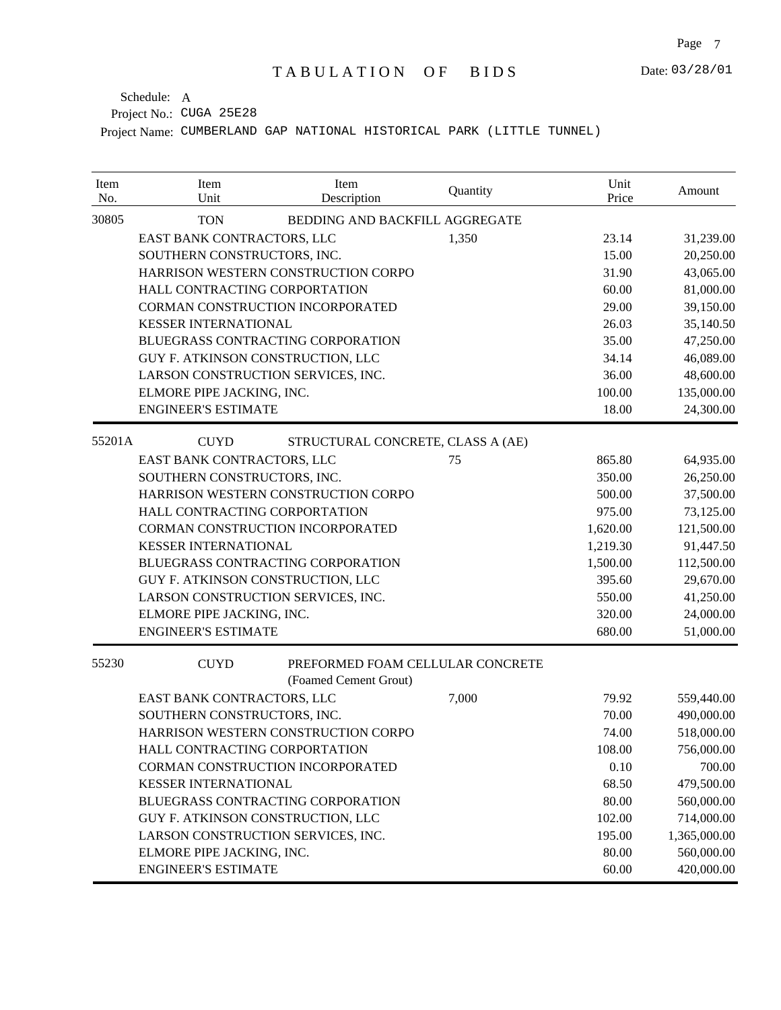| Item<br>No. | Item<br>Unit                                 | Item<br>Description                                       | Quantity | Unit<br>Price | Amount       |
|-------------|----------------------------------------------|-----------------------------------------------------------|----------|---------------|--------------|
| 30805       | <b>TON</b><br>BEDDING AND BACKFILL AGGREGATE |                                                           |          |               |              |
|             | EAST BANK CONTRACTORS, LLC                   |                                                           | 1,350    | 23.14         | 31,239.00    |
|             | SOUTHERN CONSTRUCTORS, INC.                  |                                                           |          | 15.00         | 20,250.00    |
|             |                                              | HARRISON WESTERN CONSTRUCTION CORPO                       |          | 31.90         | 43,065.00    |
|             | HALL CONTRACTING CORPORTATION                |                                                           |          | 60.00         | 81,000.00    |
|             |                                              | CORMAN CONSTRUCTION INCORPORATED                          |          | 29.00         | 39,150.00    |
|             | <b>KESSER INTERNATIONAL</b>                  |                                                           |          | 26.03         | 35,140.50    |
|             |                                              | BLUEGRASS CONTRACTING CORPORATION                         |          | 35.00         | 47,250.00    |
|             | GUY F. ATKINSON CONSTRUCTION, LLC            |                                                           |          | 34.14         | 46,089.00    |
|             | LARSON CONSTRUCTION SERVICES, INC.           |                                                           |          | 36.00         | 48,600.00    |
|             | ELMORE PIPE JACKING, INC.                    |                                                           |          | 100.00        | 135,000.00   |
|             | <b>ENGINEER'S ESTIMATE</b>                   |                                                           |          | 18.00         | 24,300.00    |
| 55201A      | <b>CUYD</b>                                  | STRUCTURAL CONCRETE, CLASS A (AE)                         |          |               |              |
|             | EAST BANK CONTRACTORS, LLC                   |                                                           | 75       | 865.80        | 64,935.00    |
|             | SOUTHERN CONSTRUCTORS, INC.                  |                                                           |          | 350.00        | 26,250.00    |
|             |                                              | HARRISON WESTERN CONSTRUCTION CORPO                       |          | 500.00        | 37,500.00    |
|             | HALL CONTRACTING CORPORTATION                |                                                           |          | 975.00        | 73,125.00    |
|             |                                              | CORMAN CONSTRUCTION INCORPORATED                          |          | 1,620.00      | 121,500.00   |
|             | <b>KESSER INTERNATIONAL</b>                  |                                                           |          | 1,219.30      | 91,447.50    |
|             |                                              | BLUEGRASS CONTRACTING CORPORATION                         |          | 1,500.00      | 112,500.00   |
|             | GUY F. ATKINSON CONSTRUCTION, LLC            |                                                           |          | 395.60        | 29,670.00    |
|             | LARSON CONSTRUCTION SERVICES, INC.           |                                                           |          | 550.00        | 41,250.00    |
|             | ELMORE PIPE JACKING, INC.                    |                                                           |          | 320.00        | 24,000.00    |
|             | <b>ENGINEER'S ESTIMATE</b>                   |                                                           |          | 680.00        | 51,000.00    |
| 55230       | <b>CUYD</b>                                  | PREFORMED FOAM CELLULAR CONCRETE<br>(Foamed Cement Grout) |          |               |              |
|             | EAST BANK CONTRACTORS, LLC                   |                                                           | 7,000    | 79.92         | 559,440.00   |
|             | SOUTHERN CONSTRUCTORS, INC.                  |                                                           |          | 70.00         | 490,000.00   |
|             |                                              | HARRISON WESTERN CONSTRUCTION CORPO                       |          | 74.00         | 518,000.00   |
|             | HALL CONTRACTING CORPORTATION                |                                                           |          | 108.00        | 756,000.00   |
|             |                                              | CORMAN CONSTRUCTION INCORPORATED                          |          | 0.10          | 700.00       |
|             | <b>KESSER INTERNATIONAL</b>                  |                                                           |          | 68.50         | 479,500.00   |
|             |                                              | BLUEGRASS CONTRACTING CORPORATION                         |          | 80.00         | 560,000.00   |
|             | GUY F. ATKINSON CONSTRUCTION, LLC            |                                                           |          | 102.00        | 714,000.00   |
|             | LARSON CONSTRUCTION SERVICES, INC.           |                                                           |          | 195.00        | 1,365,000.00 |
|             | ELMORE PIPE JACKING, INC.                    |                                                           |          | 80.00         | 560,000.00   |
|             | <b>ENGINEER'S ESTIMATE</b>                   |                                                           |          | 60.00         | 420,000.00   |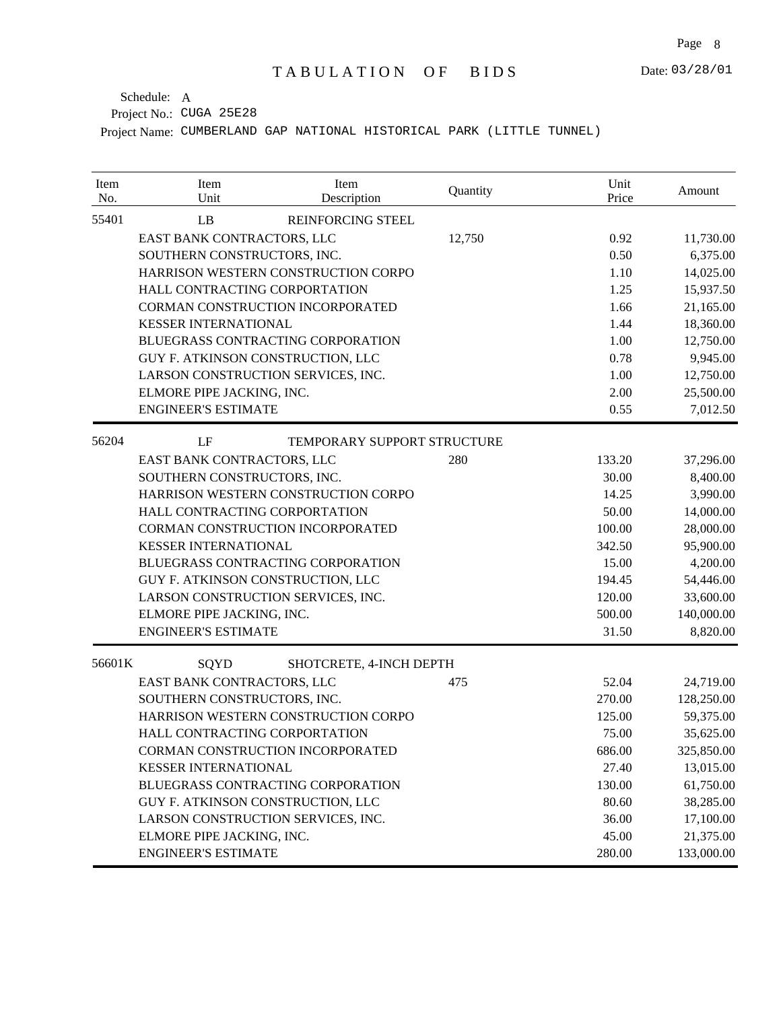| Item<br>No. | Item<br>Unit                             | Item<br>Description         | Quantity | Unit<br>Price | Amount     |
|-------------|------------------------------------------|-----------------------------|----------|---------------|------------|
| 55401       | LB                                       | REINFORCING STEEL           |          |               |            |
|             | EAST BANK CONTRACTORS, LLC               |                             | 12,750   | 0.92          | 11,730.00  |
|             | SOUTHERN CONSTRUCTORS, INC.              |                             |          | 0.50          | 6,375.00   |
|             | HARRISON WESTERN CONSTRUCTION CORPO      |                             |          | 1.10          | 14,025.00  |
|             | HALL CONTRACTING CORPORTATION            |                             |          | 1.25          | 15,937.50  |
|             | CORMAN CONSTRUCTION INCORPORATED         |                             |          | 1.66          | 21,165.00  |
|             | <b>KESSER INTERNATIONAL</b>              |                             |          | 1.44          | 18,360.00  |
|             | <b>BLUEGRASS CONTRACTING CORPORATION</b> |                             |          | 1.00          | 12,750.00  |
|             | GUY F. ATKINSON CONSTRUCTION, LLC        |                             |          | 0.78          | 9,945.00   |
|             | LARSON CONSTRUCTION SERVICES, INC.       |                             |          | 1.00          | 12,750.00  |
|             | ELMORE PIPE JACKING, INC.                |                             |          | 2.00          | 25,500.00  |
|             | <b>ENGINEER'S ESTIMATE</b>               |                             |          | 0.55          | 7,012.50   |
| 56204       | LF                                       | TEMPORARY SUPPORT STRUCTURE |          |               |            |
|             | EAST BANK CONTRACTORS, LLC               |                             | 280      | 133.20        | 37,296.00  |
|             | SOUTHERN CONSTRUCTORS, INC.              |                             |          | 30.00         | 8,400.00   |
|             | HARRISON WESTERN CONSTRUCTION CORPO      |                             |          | 14.25         | 3,990.00   |
|             | HALL CONTRACTING CORPORTATION            |                             |          | 50.00         | 14,000.00  |
|             | CORMAN CONSTRUCTION INCORPORATED         |                             |          | 100.00        | 28,000.00  |
|             | <b>KESSER INTERNATIONAL</b>              |                             |          | 342.50        | 95,900.00  |
|             | BLUEGRASS CONTRACTING CORPORATION        |                             |          | 15.00         | 4,200.00   |
|             | GUY F. ATKINSON CONSTRUCTION, LLC        |                             |          | 194.45        | 54,446.00  |
|             | LARSON CONSTRUCTION SERVICES, INC.       |                             |          | 120.00        | 33,600.00  |
|             | ELMORE PIPE JACKING, INC.                |                             |          | 500.00        | 140,000.00 |
|             | <b>ENGINEER'S ESTIMATE</b>               |                             |          | 31.50         | 8,820.00   |
| 56601K      | SQYD                                     | SHOTCRETE, 4-INCH DEPTH     |          |               |            |
|             | EAST BANK CONTRACTORS, LLC               |                             | 475      | 52.04         | 24,719.00  |
|             | SOUTHERN CONSTRUCTORS, INC.              |                             |          | 270.00        | 128,250.00 |
|             | HARRISON WESTERN CONSTRUCTION CORPO      |                             |          | 125.00        | 59,375.00  |
|             | HALL CONTRACTING CORPORTATION            |                             |          | 75.00         | 35,625.00  |
|             | CORMAN CONSTRUCTION INCORPORATED         |                             |          | 686.00        | 325,850.00 |
|             | <b>KESSER INTERNATIONAL</b>              |                             |          | 27.40         | 13,015.00  |
|             | BLUEGRASS CONTRACTING CORPORATION        |                             |          | 130.00        | 61,750.00  |
|             | GUY F. ATKINSON CONSTRUCTION, LLC        |                             |          | 80.60         | 38,285.00  |
|             | LARSON CONSTRUCTION SERVICES, INC.       |                             |          | 36.00         | 17,100.00  |
|             | ELMORE PIPE JACKING, INC.                |                             |          | 45.00         | 21,375.00  |
|             | <b>ENGINEER'S ESTIMATE</b>               |                             |          | 280.00        | 133,000.00 |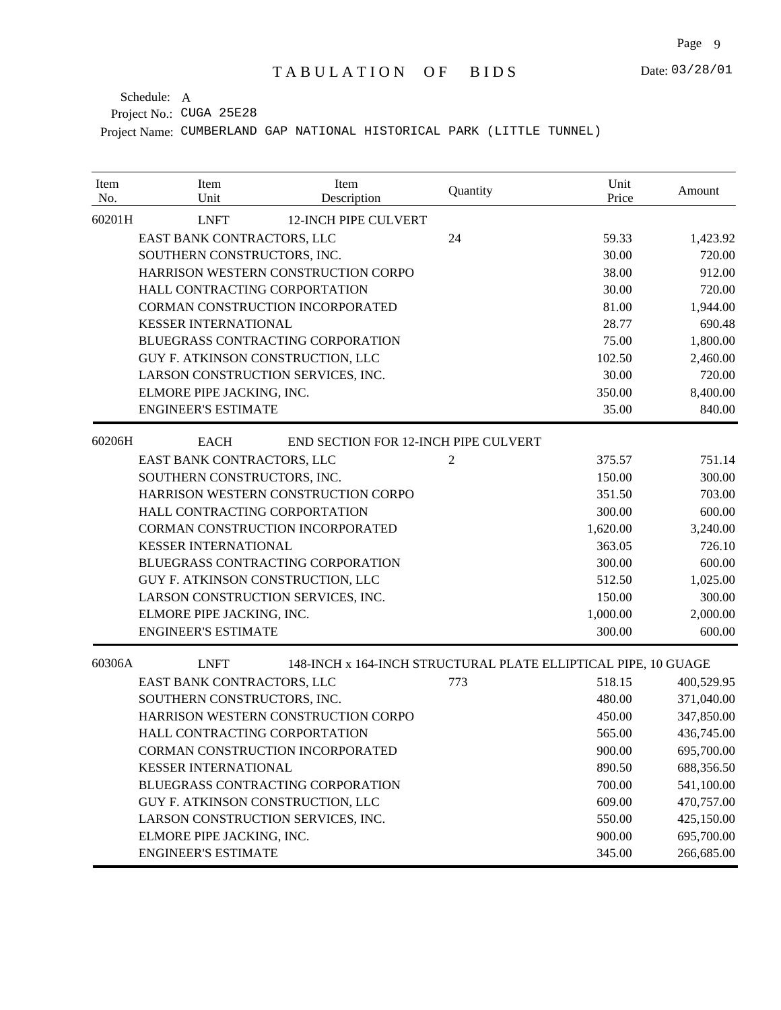| Item<br>No. | Item<br>Unit                        | Item<br>Description                                            | Quantity | Unit<br>Price | Amount     |
|-------------|-------------------------------------|----------------------------------------------------------------|----------|---------------|------------|
| 60201H      | <b>LNFT</b>                         | <b>12-INCH PIPE CULVERT</b>                                    |          |               |            |
|             | EAST BANK CONTRACTORS, LLC          |                                                                | 24       | 59.33         | 1,423.92   |
|             | SOUTHERN CONSTRUCTORS, INC.         |                                                                |          | 30.00         | 720.00     |
|             |                                     | HARRISON WESTERN CONSTRUCTION CORPO                            |          | 38.00         | 912.00     |
|             | HALL CONTRACTING CORPORTATION       |                                                                |          | 30.00         | 720.00     |
|             | CORMAN CONSTRUCTION INCORPORATED    |                                                                |          | 81.00         | 1,944.00   |
|             | <b>KESSER INTERNATIONAL</b>         |                                                                |          | 28.77         | 690.48     |
|             |                                     | BLUEGRASS CONTRACTING CORPORATION                              |          | 75.00         | 1,800.00   |
|             | GUY F. ATKINSON CONSTRUCTION, LLC   |                                                                |          | 102.50        | 2,460.00   |
|             | LARSON CONSTRUCTION SERVICES, INC.  |                                                                |          | 30.00         | 720.00     |
|             | ELMORE PIPE JACKING, INC.           |                                                                |          | 350.00        | 8,400.00   |
|             | <b>ENGINEER'S ESTIMATE</b>          |                                                                |          | 35.00         | 840.00     |
| 60206H      | <b>EACH</b>                         | END SECTION FOR 12-INCH PIPE CULVERT                           |          |               |            |
|             | EAST BANK CONTRACTORS, LLC          |                                                                | 2        | 375.57        | 751.14     |
|             | SOUTHERN CONSTRUCTORS, INC.         |                                                                | 150.00   | 300.00        |            |
|             | HARRISON WESTERN CONSTRUCTION CORPO |                                                                |          | 351.50        | 703.00     |
|             | HALL CONTRACTING CORPORTATION       |                                                                |          | 300.00        | 600.00     |
|             | CORMAN CONSTRUCTION INCORPORATED    |                                                                |          | 1,620.00      | 3,240.00   |
|             | <b>KESSER INTERNATIONAL</b>         |                                                                |          | 363.05        | 726.10     |
|             | BLUEGRASS CONTRACTING CORPORATION   |                                                                |          | 300.00        | 600.00     |
|             | GUY F. ATKINSON CONSTRUCTION, LLC   |                                                                |          | 512.50        | 1,025.00   |
|             | LARSON CONSTRUCTION SERVICES, INC.  |                                                                |          | 150.00        | 300.00     |
|             | ELMORE PIPE JACKING, INC.           |                                                                |          | 1,000.00      | 2,000.00   |
|             | <b>ENGINEER'S ESTIMATE</b>          |                                                                |          | 300.00        | 600.00     |
| 60306A      | <b>LNFT</b>                         | 148-INCH x 164-INCH STRUCTURAL PLATE ELLIPTICAL PIPE, 10 GUAGE |          |               |            |
|             | EAST BANK CONTRACTORS, LLC          |                                                                | 773      | 518.15        | 400,529.95 |
|             | SOUTHERN CONSTRUCTORS, INC.         |                                                                |          | 480.00        | 371,040.00 |
|             |                                     | HARRISON WESTERN CONSTRUCTION CORPO                            |          | 450.00        | 347,850.00 |
|             | HALL CONTRACTING CORPORTATION       |                                                                |          | 565.00        | 436,745.00 |
|             |                                     | CORMAN CONSTRUCTION INCORPORATED                               |          | 900.00        | 695,700.00 |
|             | <b>KESSER INTERNATIONAL</b>         |                                                                |          | 890.50        | 688,356.50 |
|             |                                     | BLUEGRASS CONTRACTING CORPORATION                              |          | 700.00        | 541,100.00 |
|             | GUY F. ATKINSON CONSTRUCTION, LLC   |                                                                |          | 609.00        | 470,757.00 |
|             | LARSON CONSTRUCTION SERVICES, INC.  |                                                                |          | 550.00        | 425,150.00 |
|             | ELMORE PIPE JACKING, INC.           |                                                                |          | 900.00        | 695,700.00 |
|             | <b>ENGINEER'S ESTIMATE</b>          |                                                                |          | 345.00        | 266,685.00 |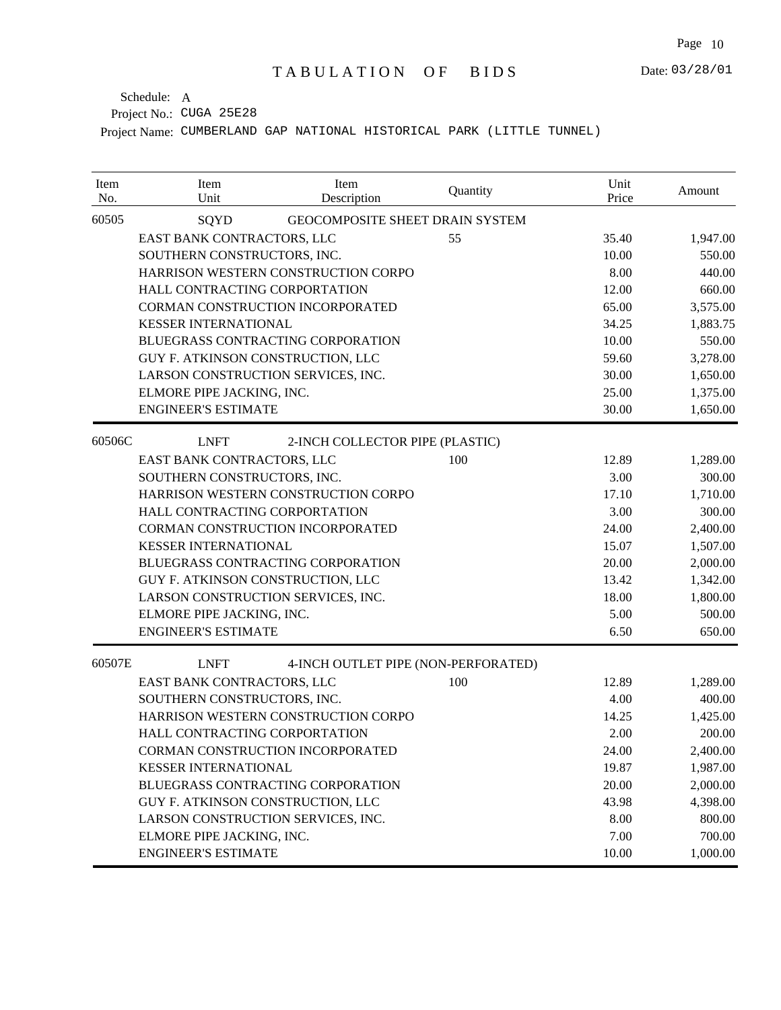| Item<br>No. | Item<br>Unit                       | Item<br>Description                 | Quantity | Unit<br>Price | Amount   |
|-------------|------------------------------------|-------------------------------------|----------|---------------|----------|
| 60505       | SQYD                               | GEOCOMPOSITE SHEET DRAIN SYSTEM     |          |               |          |
|             | EAST BANK CONTRACTORS, LLC         |                                     | 55       | 35.40         | 1,947.00 |
|             | SOUTHERN CONSTRUCTORS, INC.        |                                     |          | 10.00         | 550.00   |
|             |                                    | HARRISON WESTERN CONSTRUCTION CORPO |          | 8.00          | 440.00   |
|             | HALL CONTRACTING CORPORTATION      |                                     |          | 12.00         | 660.00   |
|             | CORMAN CONSTRUCTION INCORPORATED   |                                     |          | 65.00         | 3,575.00 |
|             | <b>KESSER INTERNATIONAL</b>        |                                     |          | 34.25         | 1,883.75 |
|             |                                    | BLUEGRASS CONTRACTING CORPORATION   |          | 10.00         | 550.00   |
|             | GUY F. ATKINSON CONSTRUCTION, LLC  |                                     |          | 59.60         | 3,278.00 |
|             | LARSON CONSTRUCTION SERVICES, INC. |                                     |          | 30.00         | 1,650.00 |
|             | ELMORE PIPE JACKING, INC.          |                                     |          | 25.00         | 1,375.00 |
|             | <b>ENGINEER'S ESTIMATE</b>         |                                     |          | 30.00         | 1,650.00 |
| 60506C      | <b>LNFT</b>                        | 2-INCH COLLECTOR PIPE (PLASTIC)     |          |               |          |
|             | EAST BANK CONTRACTORS, LLC         |                                     | 100      | 12.89         | 1,289.00 |
|             | SOUTHERN CONSTRUCTORS, INC.        |                                     |          | 3.00          | 300.00   |
|             |                                    | HARRISON WESTERN CONSTRUCTION CORPO |          | 17.10         | 1,710.00 |
|             | HALL CONTRACTING CORPORTATION      |                                     |          | 3.00          | 300.00   |
|             | CORMAN CONSTRUCTION INCORPORATED   |                                     |          | 24.00         | 2,400.00 |
|             | <b>KESSER INTERNATIONAL</b>        |                                     |          | 15.07         | 1,507.00 |
|             |                                    | BLUEGRASS CONTRACTING CORPORATION   |          | 20.00         | 2,000.00 |
|             | GUY F. ATKINSON CONSTRUCTION, LLC  |                                     |          | 13.42         | 1,342.00 |
|             | LARSON CONSTRUCTION SERVICES, INC. |                                     |          | 18.00         | 1,800.00 |
|             | ELMORE PIPE JACKING, INC.          |                                     |          | 5.00          | 500.00   |
|             | <b>ENGINEER'S ESTIMATE</b>         |                                     |          | 6.50          | 650.00   |
| 60507E      | <b>LNFT</b>                        | 4-INCH OUTLET PIPE (NON-PERFORATED) |          |               |          |
|             | EAST BANK CONTRACTORS, LLC         |                                     | 100      | 12.89         | 1,289.00 |
|             | SOUTHERN CONSTRUCTORS, INC.        |                                     |          | 4.00          | 400.00   |
|             |                                    | HARRISON WESTERN CONSTRUCTION CORPO |          | 14.25         | 1,425.00 |
|             | HALL CONTRACTING CORPORTATION      |                                     |          | 2.00          | 200.00   |
|             | CORMAN CONSTRUCTION INCORPORATED   |                                     |          | 24.00         | 2,400.00 |
|             | <b>KESSER INTERNATIONAL</b>        |                                     |          | 19.87         | 1,987.00 |
|             |                                    | BLUEGRASS CONTRACTING CORPORATION   |          | 20.00         | 2,000.00 |
|             | GUY F. ATKINSON CONSTRUCTION, LLC  |                                     |          | 43.98         | 4,398.00 |
|             | LARSON CONSTRUCTION SERVICES, INC. |                                     |          | 8.00          | 800.00   |
|             | ELMORE PIPE JACKING, INC.          |                                     |          | 7.00          | 700.00   |
|             | <b>ENGINEER'S ESTIMATE</b>         |                                     |          | 10.00         | 1,000.00 |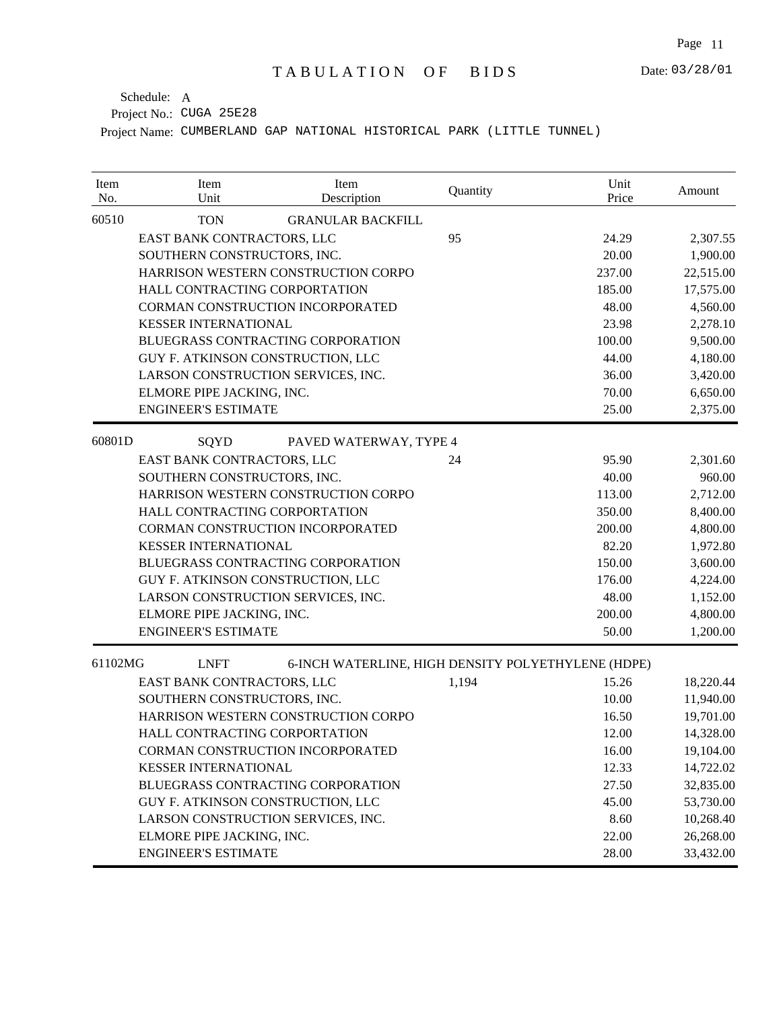| Item<br>No. | Item<br>Unit                        | Item<br>Description                                | Quantity | Unit<br>Price | Amount    |
|-------------|-------------------------------------|----------------------------------------------------|----------|---------------|-----------|
| 60510       | <b>TON</b>                          | <b>GRANULAR BACKFILL</b>                           |          |               |           |
|             | EAST BANK CONTRACTORS, LLC          |                                                    | 95       | 24.29         | 2,307.55  |
|             | SOUTHERN CONSTRUCTORS, INC.         |                                                    |          | 20.00         | 1,900.00  |
|             |                                     | HARRISON WESTERN CONSTRUCTION CORPO                |          | 237.00        | 22,515.00 |
|             | HALL CONTRACTING CORPORTATION       |                                                    |          | 185.00        | 17,575.00 |
|             |                                     | CORMAN CONSTRUCTION INCORPORATED                   |          | 48.00         | 4,560.00  |
|             | <b>KESSER INTERNATIONAL</b>         |                                                    |          | 23.98         | 2,278.10  |
|             |                                     | BLUEGRASS CONTRACTING CORPORATION                  |          | 100.00        | 9,500.00  |
|             | GUY F. ATKINSON CONSTRUCTION, LLC   |                                                    |          | 44.00         | 4,180.00  |
|             | LARSON CONSTRUCTION SERVICES, INC.  |                                                    |          | 36.00         | 3,420.00  |
|             | ELMORE PIPE JACKING, INC.           |                                                    |          | 70.00         | 6,650.00  |
|             | <b>ENGINEER'S ESTIMATE</b>          |                                                    |          | 25.00         | 2,375.00  |
| 60801D      | SQYD                                | PAVED WATERWAY, TYPE 4                             |          |               |           |
|             | EAST BANK CONTRACTORS, LLC          |                                                    | 24       | 95.90         | 2,301.60  |
|             | SOUTHERN CONSTRUCTORS, INC.         |                                                    |          | 40.00         | 960.00    |
|             | HARRISON WESTERN CONSTRUCTION CORPO |                                                    |          | 113.00        | 2,712.00  |
|             | HALL CONTRACTING CORPORTATION       |                                                    |          | 350.00        | 8,400.00  |
|             |                                     | CORMAN CONSTRUCTION INCORPORATED                   |          | 200.00        | 4,800.00  |
|             | <b>KESSER INTERNATIONAL</b>         |                                                    |          | 82.20         | 1,972.80  |
|             |                                     | BLUEGRASS CONTRACTING CORPORATION                  |          | 150.00        | 3,600.00  |
|             | GUY F. ATKINSON CONSTRUCTION, LLC   |                                                    |          | 176.00        | 4,224.00  |
|             | LARSON CONSTRUCTION SERVICES, INC.  |                                                    |          | 48.00         | 1,152.00  |
|             | ELMORE PIPE JACKING, INC.           |                                                    |          | 200.00        | 4,800.00  |
|             | <b>ENGINEER'S ESTIMATE</b>          |                                                    |          | 50.00         | 1,200.00  |
| 61102MG     | <b>LNFT</b>                         | 6-INCH WATERLINE, HIGH DENSITY POLYETHYLENE (HDPE) |          |               |           |
|             | EAST BANK CONTRACTORS, LLC          |                                                    | 1,194    | 15.26         | 18,220.44 |
|             | SOUTHERN CONSTRUCTORS, INC.         |                                                    |          | 10.00         | 11,940.00 |
|             |                                     | HARRISON WESTERN CONSTRUCTION CORPO                |          | 16.50         | 19,701.00 |
|             | HALL CONTRACTING CORPORTATION       |                                                    |          | 12.00         | 14,328.00 |
|             |                                     | CORMAN CONSTRUCTION INCORPORATED                   |          | 16.00         | 19,104.00 |
|             | <b>KESSER INTERNATIONAL</b>         |                                                    |          | 12.33         | 14,722.02 |
|             |                                     | BLUEGRASS CONTRACTING CORPORATION                  |          | 27.50         | 32,835.00 |
|             | GUY F. ATKINSON CONSTRUCTION, LLC   |                                                    |          | 45.00         | 53,730.00 |
|             | LARSON CONSTRUCTION SERVICES, INC.  |                                                    |          | 8.60          | 10,268.40 |
|             | ELMORE PIPE JACKING, INC.           |                                                    |          | 22.00         | 26,268.00 |
|             | <b>ENGINEER'S ESTIMATE</b>          |                                                    |          | 28.00         | 33,432.00 |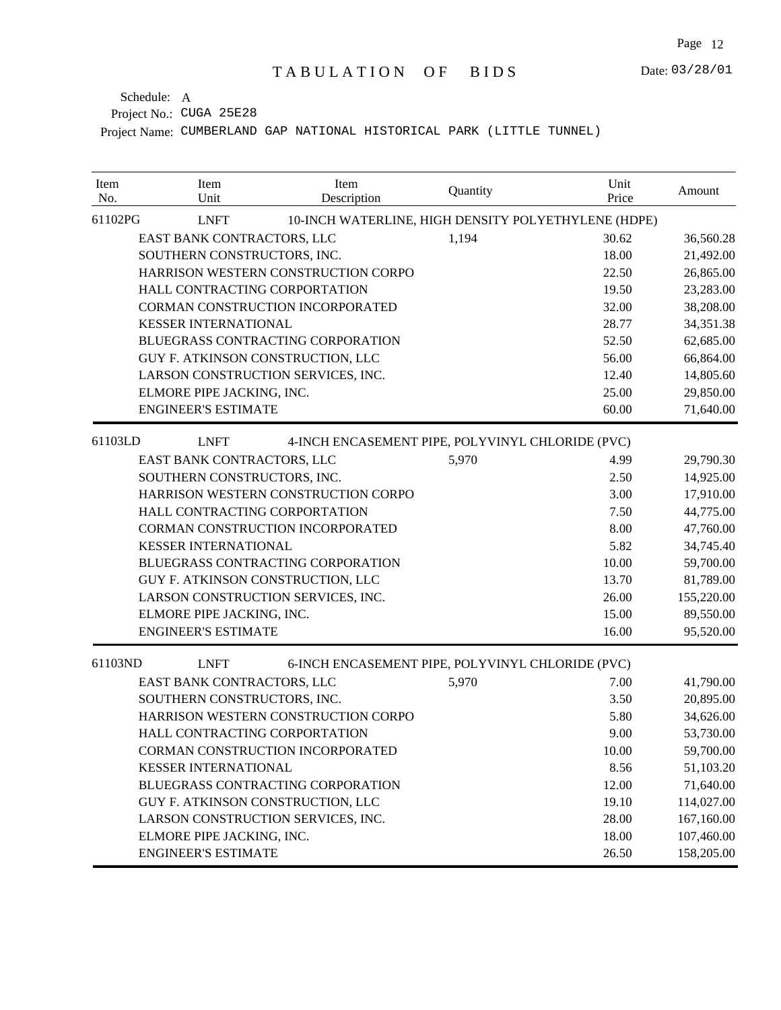| Item<br>No. | Item<br>Unit                       | Item<br>Description                                 | Quantity | Unit<br>Price | Amount     |
|-------------|------------------------------------|-----------------------------------------------------|----------|---------------|------------|
| 61102PG     | <b>LNFT</b>                        | 10-INCH WATERLINE, HIGH DENSITY POLYETHYLENE (HDPE) |          |               |            |
|             | EAST BANK CONTRACTORS, LLC         |                                                     | 1,194    | 30.62         | 36,560.28  |
|             | SOUTHERN CONSTRUCTORS, INC.        |                                                     |          | 18.00         | 21,492.00  |
|             |                                    | HARRISON WESTERN CONSTRUCTION CORPO                 |          | 22.50         | 26,865.00  |
|             |                                    | HALL CONTRACTING CORPORTATION                       |          | 19.50         | 23,283.00  |
|             |                                    | CORMAN CONSTRUCTION INCORPORATED                    |          | 32.00         | 38,208.00  |
|             | <b>KESSER INTERNATIONAL</b>        |                                                     |          | 28.77         | 34,351.38  |
|             |                                    | BLUEGRASS CONTRACTING CORPORATION                   |          | 52.50         | 62,685.00  |
|             |                                    | GUY F. ATKINSON CONSTRUCTION, LLC                   |          | 56.00         | 66,864.00  |
|             |                                    | LARSON CONSTRUCTION SERVICES, INC.                  |          | 12.40         | 14,805.60  |
|             | ELMORE PIPE JACKING, INC.          |                                                     |          | 25.00         | 29,850.00  |
|             | <b>ENGINEER'S ESTIMATE</b>         |                                                     |          | 60.00         | 71,640.00  |
| 61103LD     | <b>LNFT</b>                        | 4-INCH ENCASEMENT PIPE, POLYVINYL CHLORIDE (PVC)    |          |               |            |
|             | EAST BANK CONTRACTORS, LLC         |                                                     | 5,970    | 4.99          | 29,790.30  |
|             | SOUTHERN CONSTRUCTORS, INC.        |                                                     |          | 2.50          | 14,925.00  |
|             |                                    | HARRISON WESTERN CONSTRUCTION CORPO                 |          | 3.00          | 17,910.00  |
|             |                                    | HALL CONTRACTING CORPORTATION                       |          | 7.50          | 44,775.00  |
|             |                                    | CORMAN CONSTRUCTION INCORPORATED                    |          | 8.00          | 47,760.00  |
|             | <b>KESSER INTERNATIONAL</b>        |                                                     |          | 5.82          | 34,745.40  |
|             |                                    | BLUEGRASS CONTRACTING CORPORATION                   |          | 10.00         | 59,700.00  |
|             | GUY F. ATKINSON CONSTRUCTION, LLC  |                                                     |          | 13.70         | 81,789.00  |
|             | LARSON CONSTRUCTION SERVICES, INC. |                                                     |          | 26.00         | 155,220.00 |
|             | ELMORE PIPE JACKING, INC.          |                                                     |          | 15.00         | 89,550.00  |
|             | <b>ENGINEER'S ESTIMATE</b>         |                                                     |          | 16.00         | 95,520.00  |
| 61103ND     | <b>LNFT</b>                        | 6-INCH ENCASEMENT PIPE, POLYVINYL CHLORIDE (PVC)    |          |               |            |
|             | EAST BANK CONTRACTORS, LLC         |                                                     | 5,970    | 7.00          | 41,790.00  |
|             | SOUTHERN CONSTRUCTORS, INC.        |                                                     |          | 3.50          | 20,895.00  |
|             |                                    | HARRISON WESTERN CONSTRUCTION CORPO                 |          | 5.80          | 34,626.00  |
|             |                                    | HALL CONTRACTING CORPORTATION                       |          | 9.00          | 53,730.00  |
|             |                                    | CORMAN CONSTRUCTION INCORPORATED                    |          | 10.00         | 59,700.00  |
|             | <b>KESSER INTERNATIONAL</b>        |                                                     |          | 8.56          | 51,103.20  |
|             |                                    | BLUEGRASS CONTRACTING CORPORATION                   |          | 12.00         | 71,640.00  |
|             |                                    | GUY F. ATKINSON CONSTRUCTION, LLC                   |          | 19.10         | 114,027.00 |
|             |                                    | LARSON CONSTRUCTION SERVICES, INC.                  |          | 28.00         | 167,160.00 |
|             | ELMORE PIPE JACKING, INC.          |                                                     |          | 18.00         | 107,460.00 |
|             | <b>ENGINEER'S ESTIMATE</b>         |                                                     |          | 26.50         | 158,205.00 |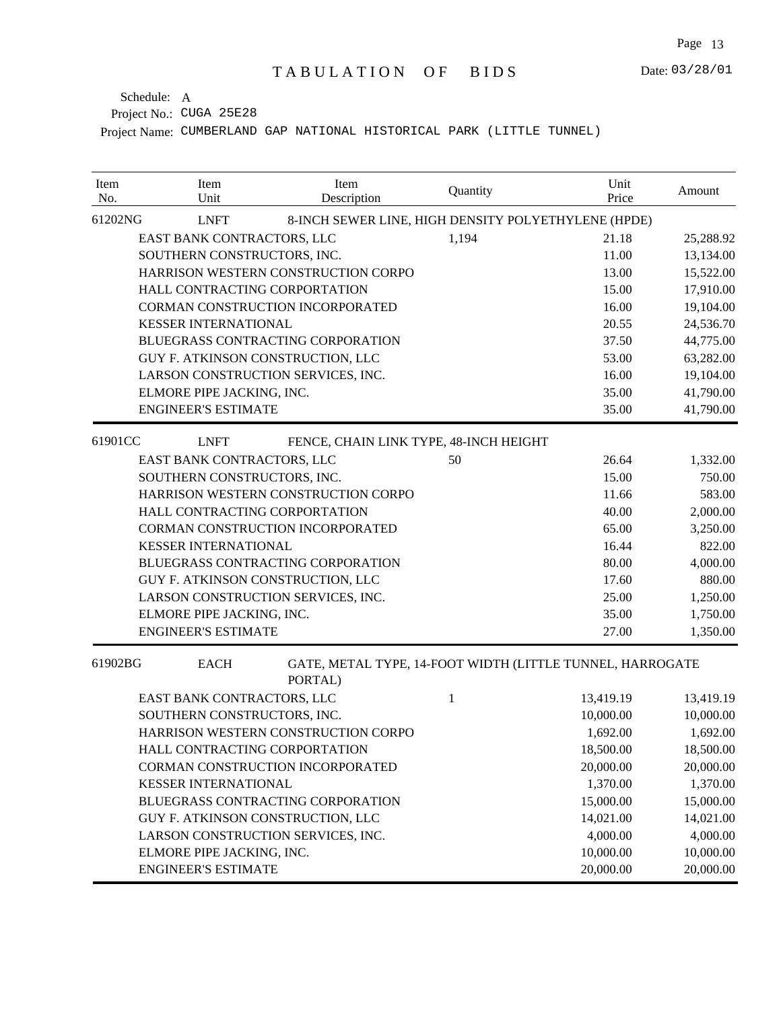| Item<br>No. | Item<br>Unit                      | Item<br>Description                                 | Quantity     | Unit<br>Price                                             | Amount    |
|-------------|-----------------------------------|-----------------------------------------------------|--------------|-----------------------------------------------------------|-----------|
| 61202NG     | <b>LNFT</b>                       | 8-INCH SEWER LINE, HIGH DENSITY POLYETHYLENE (HPDE) |              |                                                           |           |
|             | EAST BANK CONTRACTORS, LLC        |                                                     | 1,194        | 21.18                                                     | 25,288.92 |
|             | SOUTHERN CONSTRUCTORS, INC.       |                                                     |              | 11.00                                                     | 13,134.00 |
|             |                                   | HARRISON WESTERN CONSTRUCTION CORPO                 |              | 13.00                                                     | 15,522.00 |
|             | HALL CONTRACTING CORPORTATION     |                                                     |              | 15.00                                                     | 17,910.00 |
|             |                                   | CORMAN CONSTRUCTION INCORPORATED                    |              | 16.00                                                     | 19,104.00 |
|             | <b>KESSER INTERNATIONAL</b>       |                                                     |              | 20.55                                                     | 24,536.70 |
|             |                                   | BLUEGRASS CONTRACTING CORPORATION                   |              | 37.50                                                     | 44,775.00 |
|             | GUY F. ATKINSON CONSTRUCTION, LLC |                                                     |              | 53.00                                                     | 63,282.00 |
|             |                                   | LARSON CONSTRUCTION SERVICES, INC.                  |              | 16.00                                                     | 19,104.00 |
|             | ELMORE PIPE JACKING, INC.         |                                                     |              | 35.00                                                     | 41,790.00 |
|             | <b>ENGINEER'S ESTIMATE</b>        |                                                     |              | 35.00                                                     | 41,790.00 |
| 61901CC     | <b>LNFT</b>                       | FENCE, CHAIN LINK TYPE, 48-INCH HEIGHT              |              |                                                           |           |
|             | EAST BANK CONTRACTORS, LLC        |                                                     | 50           | 26.64                                                     | 1,332.00  |
|             | SOUTHERN CONSTRUCTORS, INC.       |                                                     |              | 15.00                                                     | 750.00    |
|             |                                   | HARRISON WESTERN CONSTRUCTION CORPO                 |              | 11.66                                                     | 583.00    |
|             | HALL CONTRACTING CORPORTATION     |                                                     |              | 40.00                                                     | 2,000.00  |
|             |                                   | CORMAN CONSTRUCTION INCORPORATED                    |              | 65.00                                                     | 3,250.00  |
|             | <b>KESSER INTERNATIONAL</b>       |                                                     |              | 16.44                                                     | 822.00    |
|             |                                   | BLUEGRASS CONTRACTING CORPORATION                   |              | 80.00                                                     | 4,000.00  |
|             | GUY F. ATKINSON CONSTRUCTION, LLC |                                                     |              | 17.60                                                     | 880.00    |
|             |                                   | LARSON CONSTRUCTION SERVICES, INC.                  |              | 25.00                                                     | 1,250.00  |
|             | ELMORE PIPE JACKING, INC.         |                                                     |              | 35.00                                                     | 1,750.00  |
|             | <b>ENGINEER'S ESTIMATE</b>        |                                                     |              | 27.00                                                     | 1,350.00  |
| 61902BG     | <b>EACH</b>                       | PORTAL)                                             |              | GATE, METAL TYPE, 14-FOOT WIDTH (LITTLE TUNNEL, HARROGATE |           |
|             | EAST BANK CONTRACTORS, LLC        |                                                     | $\mathbf{1}$ | 13,419.19                                                 | 13,419.19 |
|             | SOUTHERN CONSTRUCTORS, INC.       |                                                     |              | 10,000.00                                                 | 10,000.00 |
|             |                                   | HARRISON WESTERN CONSTRUCTION CORPO                 |              | 1,692.00                                                  | 1,692.00  |
|             | HALL CONTRACTING CORPORTATION     |                                                     |              | 18,500.00                                                 | 18,500.00 |
|             |                                   | CORMAN CONSTRUCTION INCORPORATED                    |              | 20,000.00                                                 | 20,000.00 |
|             | <b>KESSER INTERNATIONAL</b>       |                                                     |              | 1,370.00                                                  | 1,370.00  |
|             |                                   | BLUEGRASS CONTRACTING CORPORATION                   |              | 15,000.00                                                 | 15,000.00 |
|             | GUY F. ATKINSON CONSTRUCTION, LLC |                                                     |              | 14,021.00                                                 | 14,021.00 |
|             |                                   | LARSON CONSTRUCTION SERVICES, INC.                  |              | 4,000.00                                                  | 4,000.00  |
|             | ELMORE PIPE JACKING, INC.         |                                                     |              | 10,000.00                                                 | 10,000.00 |
|             | <b>ENGINEER'S ESTIMATE</b>        |                                                     |              | 20,000.00                                                 | 20,000.00 |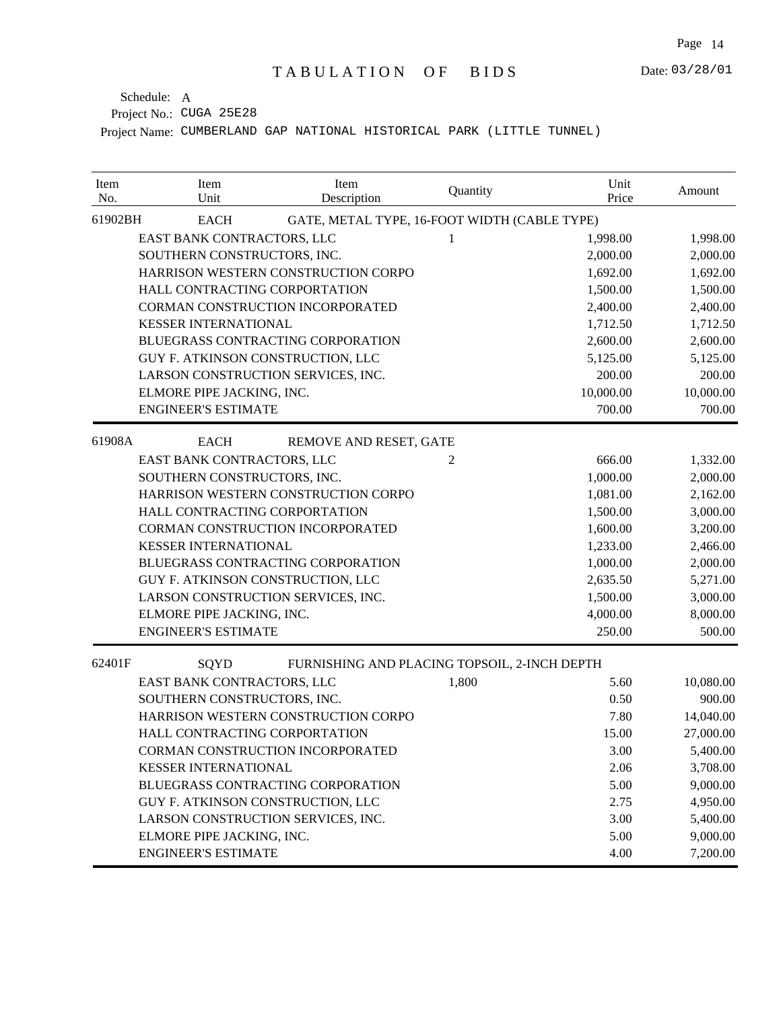| Item<br>No. | Item<br>Unit                       | Item<br>Description                          | Quantity | Unit<br>Price | Amount    |
|-------------|------------------------------------|----------------------------------------------|----------|---------------|-----------|
| 61902BH     | <b>EACH</b>                        | GATE, METAL TYPE, 16-FOOT WIDTH (CABLE TYPE) |          |               |           |
|             | EAST BANK CONTRACTORS, LLC         |                                              | 1        | 1,998.00      | 1,998.00  |
|             | SOUTHERN CONSTRUCTORS, INC.        |                                              |          | 2,000.00      | 2,000.00  |
|             |                                    | HARRISON WESTERN CONSTRUCTION CORPO          |          | 1,692.00      | 1,692.00  |
|             | HALL CONTRACTING CORPORTATION      |                                              |          | 1,500.00      | 1,500.00  |
|             | CORMAN CONSTRUCTION INCORPORATED   |                                              |          | 2,400.00      | 2,400.00  |
|             | <b>KESSER INTERNATIONAL</b>        |                                              |          | 1,712.50      | 1,712.50  |
|             |                                    | BLUEGRASS CONTRACTING CORPORATION            |          | 2,600.00      | 2,600.00  |
|             | GUY F. ATKINSON CONSTRUCTION, LLC  |                                              |          | 5,125.00      | 5,125.00  |
|             | LARSON CONSTRUCTION SERVICES, INC. |                                              |          | 200.00        | 200.00    |
|             | ELMORE PIPE JACKING, INC.          |                                              |          | 10,000.00     | 10,000.00 |
|             | <b>ENGINEER'S ESTIMATE</b>         |                                              |          | 700.00        | 700.00    |
| 61908A      | <b>EACH</b>                        | REMOVE AND RESET, GATE                       |          |               |           |
|             | EAST BANK CONTRACTORS, LLC         |                                              | 2        | 666.00        | 1,332.00  |
|             | SOUTHERN CONSTRUCTORS, INC.        |                                              |          | 1,000.00      | 2,000.00  |
|             |                                    | HARRISON WESTERN CONSTRUCTION CORPO          |          | 1,081.00      | 2,162.00  |
|             | HALL CONTRACTING CORPORTATION      |                                              |          | 1,500.00      | 3,000.00  |
|             | CORMAN CONSTRUCTION INCORPORATED   |                                              |          | 1,600.00      | 3,200.00  |
|             | <b>KESSER INTERNATIONAL</b>        |                                              |          | 1,233.00      | 2,466.00  |
|             |                                    | BLUEGRASS CONTRACTING CORPORATION            |          | 1,000.00      | 2,000.00  |
|             | GUY F. ATKINSON CONSTRUCTION, LLC  |                                              |          | 2,635.50      | 5,271.00  |
|             | LARSON CONSTRUCTION SERVICES, INC. |                                              |          | 1,500.00      | 3,000.00  |
|             | ELMORE PIPE JACKING, INC.          |                                              |          | 4,000.00      | 8,000.00  |
|             | <b>ENGINEER'S ESTIMATE</b>         |                                              |          | 250.00        | 500.00    |
| 62401F      | SQYD                               | FURNISHING AND PLACING TOPSOIL, 2-INCH DEPTH |          |               |           |
|             | EAST BANK CONTRACTORS, LLC         |                                              | 1,800    | 5.60          | 10,080.00 |
|             | SOUTHERN CONSTRUCTORS, INC.        |                                              |          | 0.50          | 900.00    |
|             |                                    | HARRISON WESTERN CONSTRUCTION CORPO          |          | 7.80          | 14,040.00 |
|             | HALL CONTRACTING CORPORTATION      |                                              |          | 15.00         | 27,000.00 |
|             | CORMAN CONSTRUCTION INCORPORATED   |                                              |          | 3.00          | 5,400.00  |
|             | <b>KESSER INTERNATIONAL</b>        |                                              |          | 2.06          | 3,708.00  |
|             | BLUEGRASS CONTRACTING CORPORATION  |                                              |          | 5.00          | 9,000.00  |
|             | GUY F. ATKINSON CONSTRUCTION, LLC  |                                              |          | 2.75          | 4,950.00  |
|             | LARSON CONSTRUCTION SERVICES, INC. |                                              |          | 3.00          | 5,400.00  |
|             | ELMORE PIPE JACKING, INC.          |                                              |          | 5.00          | 9,000.00  |
|             | <b>ENGINEER'S ESTIMATE</b>         |                                              |          | 4.00          | 7,200.00  |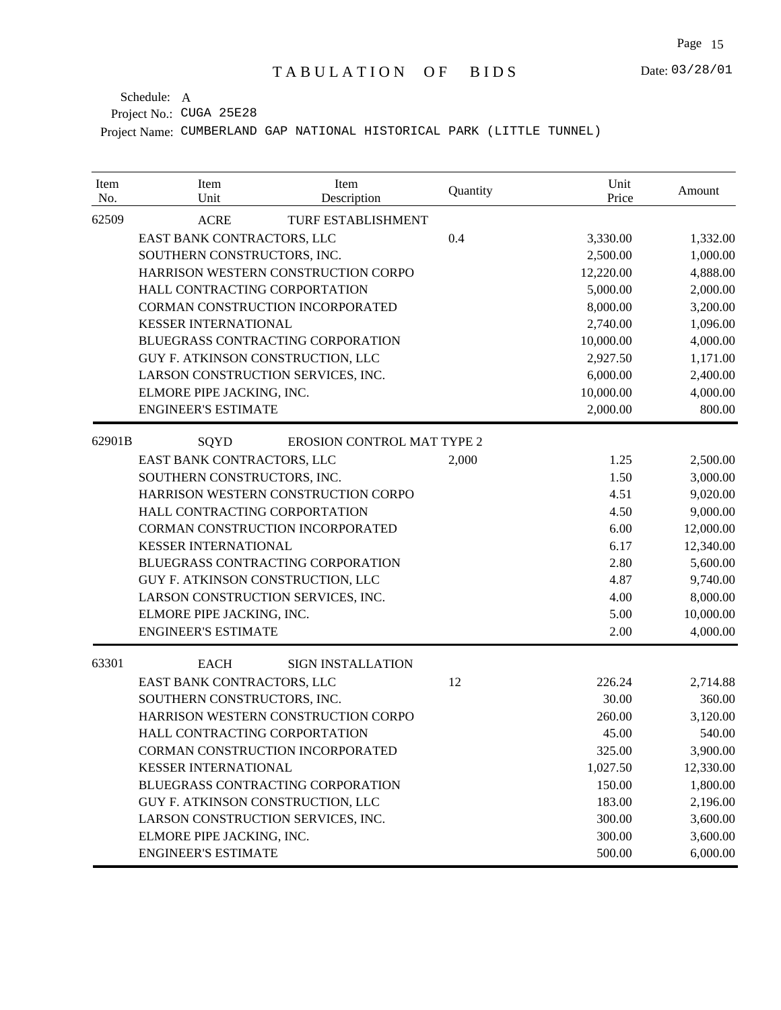| Item<br>No. | Item<br>Unit                       | Item<br>Description                 | Quantity | Unit<br>Price | Amount    |
|-------------|------------------------------------|-------------------------------------|----------|---------------|-----------|
| 62509       | <b>ACRE</b>                        | <b>TURF ESTABLISHMENT</b>           |          |               |           |
|             | EAST BANK CONTRACTORS, LLC         |                                     | 0.4      | 3,330.00      | 1,332.00  |
|             | SOUTHERN CONSTRUCTORS, INC.        |                                     |          | 2,500.00      | 1,000.00  |
|             |                                    | HARRISON WESTERN CONSTRUCTION CORPO |          | 12,220.00     | 4,888.00  |
|             | HALL CONTRACTING CORPORTATION      |                                     |          | 5,000.00      | 2,000.00  |
|             | CORMAN CONSTRUCTION INCORPORATED   |                                     |          | 8,000.00      | 3,200.00  |
|             | <b>KESSER INTERNATIONAL</b>        |                                     |          | 2,740.00      | 1,096.00  |
|             |                                    | BLUEGRASS CONTRACTING CORPORATION   |          | 10,000.00     | 4,000.00  |
|             | GUY F. ATKINSON CONSTRUCTION, LLC  |                                     |          | 2,927.50      | 1,171.00  |
|             | LARSON CONSTRUCTION SERVICES, INC. |                                     |          | 6,000.00      | 2,400.00  |
|             | ELMORE PIPE JACKING, INC.          |                                     |          | 10,000.00     | 4,000.00  |
|             | <b>ENGINEER'S ESTIMATE</b>         |                                     |          | 2,000.00      | 800.00    |
| 62901B      | SQYD                               | <b>EROSION CONTROL MAT TYPE 2</b>   |          |               |           |
|             | EAST BANK CONTRACTORS, LLC         |                                     | 2,000    | 1.25          | 2,500.00  |
|             | SOUTHERN CONSTRUCTORS, INC.        |                                     |          | 1.50          | 3,000.00  |
|             |                                    | HARRISON WESTERN CONSTRUCTION CORPO |          | 4.51          | 9,020.00  |
|             | HALL CONTRACTING CORPORTATION      |                                     |          | 4.50          | 9,000.00  |
|             | CORMAN CONSTRUCTION INCORPORATED   |                                     |          | 6.00          | 12,000.00 |
|             | <b>KESSER INTERNATIONAL</b>        |                                     |          | 6.17          | 12,340.00 |
|             |                                    | BLUEGRASS CONTRACTING CORPORATION   |          | 2.80          | 5,600.00  |
|             | GUY F. ATKINSON CONSTRUCTION, LLC  |                                     |          | 4.87          | 9,740.00  |
|             | LARSON CONSTRUCTION SERVICES, INC. |                                     |          | 4.00          | 8,000.00  |
|             | ELMORE PIPE JACKING, INC.          |                                     |          | 5.00          | 10,000.00 |
|             | <b>ENGINEER'S ESTIMATE</b>         |                                     |          | 2.00          | 4,000.00  |
| 63301       | <b>EACH</b>                        | <b>SIGN INSTALLATION</b>            |          |               |           |
|             | EAST BANK CONTRACTORS, LLC         |                                     | 12       | 226.24        | 2,714.88  |
|             | SOUTHERN CONSTRUCTORS, INC.        |                                     |          | 30.00         | 360.00    |
|             |                                    | HARRISON WESTERN CONSTRUCTION CORPO |          | 260.00        | 3,120.00  |
|             | HALL CONTRACTING CORPORTATION      |                                     |          | 45.00         | 540.00    |
|             |                                    | CORMAN CONSTRUCTION INCORPORATED    |          | 325.00        | 3,900.00  |
|             | <b>KESSER INTERNATIONAL</b>        |                                     |          | 1,027.50      | 12,330.00 |
|             |                                    | BLUEGRASS CONTRACTING CORPORATION   |          | 150.00        | 1,800.00  |
|             | GUY F. ATKINSON CONSTRUCTION, LLC  |                                     |          | 183.00        | 2,196.00  |
|             | LARSON CONSTRUCTION SERVICES, INC. |                                     |          | 300.00        | 3,600.00  |
|             | ELMORE PIPE JACKING, INC.          |                                     |          | 300.00        | 3,600.00  |
|             | <b>ENGINEER'S ESTIMATE</b>         |                                     |          | 500.00        | 6,000.00  |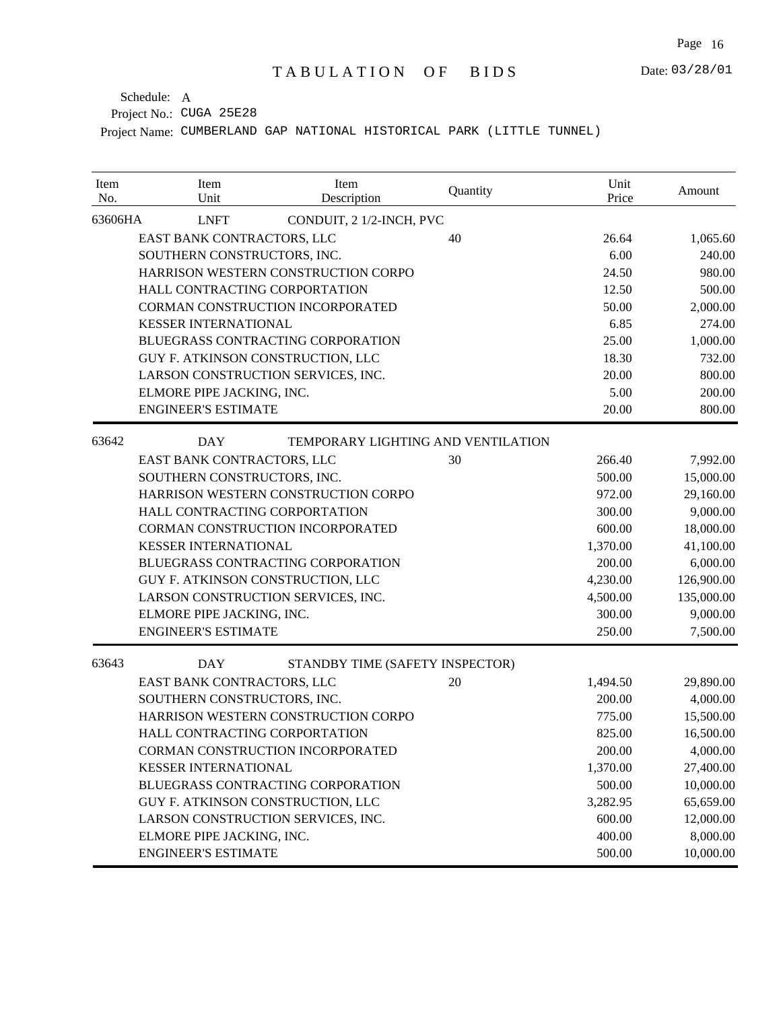Date: 03/28/01

Project No.: CUGA 25E28 Schedule: A

| Item<br>No. | Item<br>Unit                        | Item<br>Description                       | Quantity | Unit<br>Price | Amount     |
|-------------|-------------------------------------|-------------------------------------------|----------|---------------|------------|
| 63606HA     | <b>LNFT</b>                         | CONDUIT, 2 1/2-INCH, PVC                  |          |               |            |
|             | EAST BANK CONTRACTORS, LLC          |                                           | 40       | 26.64         | 1,065.60   |
|             | SOUTHERN CONSTRUCTORS, INC.         |                                           |          | 6.00          | 240.00     |
|             | HARRISON WESTERN CONSTRUCTION CORPO |                                           |          | 24.50         | 980.00     |
|             | HALL CONTRACTING CORPORTATION       |                                           |          | 12.50         | 500.00     |
|             | CORMAN CONSTRUCTION INCORPORATED    |                                           |          | 50.00         | 2,000.00   |
|             | <b>KESSER INTERNATIONAL</b>         |                                           |          | 6.85          | 274.00     |
|             | BLUEGRASS CONTRACTING CORPORATION   |                                           |          | 25.00         | 1,000.00   |
|             | GUY F. ATKINSON CONSTRUCTION, LLC   |                                           |          | 18.30         | 732.00     |
|             | LARSON CONSTRUCTION SERVICES, INC.  |                                           |          | 20.00         | 800.00     |
|             | ELMORE PIPE JACKING, INC.           |                                           |          | 5.00          | 200.00     |
|             | <b>ENGINEER'S ESTIMATE</b>          |                                           |          | 20.00         | 800.00     |
| 63642       | <b>DAY</b>                          | <b>TEMPORARY LIGHTING AND VENTILATION</b> |          |               |            |
|             | EAST BANK CONTRACTORS, LLC          |                                           | 30       | 266.40        | 7,992.00   |
|             | SOUTHERN CONSTRUCTORS, INC.         |                                           |          | 500.00        | 15,000.00  |
|             | HARRISON WESTERN CONSTRUCTION CORPO |                                           |          | 972.00        | 29,160.00  |
|             | HALL CONTRACTING CORPORTATION       |                                           |          | 300.00        | 9,000.00   |
|             | CORMAN CONSTRUCTION INCORPORATED    |                                           |          | 600.00        | 18,000.00  |
|             | <b>KESSER INTERNATIONAL</b>         |                                           |          | 1,370.00      | 41,100.00  |
|             | BLUEGRASS CONTRACTING CORPORATION   |                                           |          | 200.00        | 6,000.00   |
|             | GUY F. ATKINSON CONSTRUCTION, LLC   |                                           |          | 4,230.00      | 126,900.00 |
|             | LARSON CONSTRUCTION SERVICES, INC.  |                                           |          | 4,500.00      | 135,000.00 |
|             | ELMORE PIPE JACKING, INC.           |                                           |          | 300.00        | 9,000.00   |
|             | <b>ENGINEER'S ESTIMATE</b>          |                                           |          | 250.00        | 7,500.00   |
| 63643       | <b>DAY</b>                          | STANDBY TIME (SAFETY INSPECTOR)           |          |               |            |
|             | EAST BANK CONTRACTORS, LLC          |                                           | 20       | 1,494.50      | 29,890.00  |
|             | SOUTHERN CONSTRUCTORS, INC.         |                                           |          | 200.00        | 4,000.00   |
|             | HARRISON WESTERN CONSTRUCTION CORPO |                                           |          | 775.00        | 15,500.00  |
|             | HALL CONTRACTING CORPORTATION       |                                           |          | 825.00        | 16,500.00  |
|             | CORMAN CONSTRUCTION INCORPORATED    |                                           |          | 200.00        | 4,000.00   |
|             | <b>KESSER INTERNATIONAL</b>         |                                           |          | 1,370.00      | 27,400.00  |
|             | BLUEGRASS CONTRACTING CORPORATION   |                                           |          | 500.00        | 10,000.00  |
|             | GUY F. ATKINSON CONSTRUCTION, LLC   |                                           |          | 3,282.95      | 65,659.00  |
|             | LARSON CONSTRUCTION SERVICES, INC.  |                                           |          | 600.00        | 12,000.00  |
|             | ELMORE PIPE JACKING, INC.           |                                           |          | 400.00        | 8,000.00   |
|             | <b>ENGINEER'S ESTIMATE</b>          |                                           |          | 500.00        | 10,000.00  |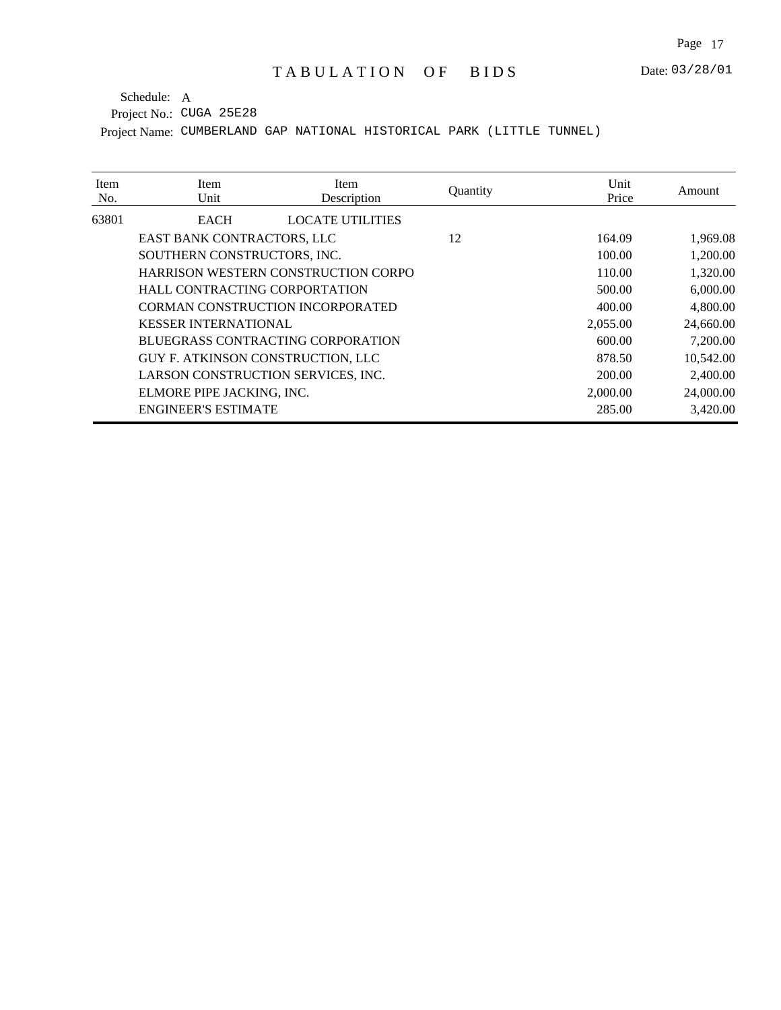| Item<br>No. | Item<br>Unit                        | Item<br>Description     | Quantity | Unit<br>Price | Amount    |
|-------------|-------------------------------------|-------------------------|----------|---------------|-----------|
| 63801       | <b>EACH</b>                         | <b>LOCATE UTILITIES</b> |          |               |           |
|             | EAST BANK CONTRACTORS, LLC          |                         | 12       | 164.09        | 1,969.08  |
|             | SOUTHERN CONSTRUCTORS, INC.         |                         |          | 100.00        | 1,200.00  |
|             | HARRISON WESTERN CONSTRUCTION CORPO |                         |          | 110.00        | 1,320.00  |
|             | HALL CONTRACTING CORPORTATION       |                         |          | 500.00        | 6,000.00  |
|             | CORMAN CONSTRUCTION INCORPORATED    |                         |          | 400.00        | 4,800.00  |
|             | <b>KESSER INTERNATIONAL</b>         |                         |          | 2,055.00      | 24,660.00 |
|             | BLUEGRASS CONTRACTING CORPORATION   |                         |          | 600.00        | 7,200.00  |
|             | GUY F. ATKINSON CONSTRUCTION, LLC   |                         |          | 878.50        | 10,542.00 |
|             | LARSON CONSTRUCTION SERVICES, INC.  |                         |          | 200.00        | 2,400.00  |
|             | ELMORE PIPE JACKING, INC.           |                         |          | 2,000.00      | 24,000.00 |
|             | <b>ENGINEER'S ESTIMATE</b>          |                         |          | 285.00        | 3,420.00  |